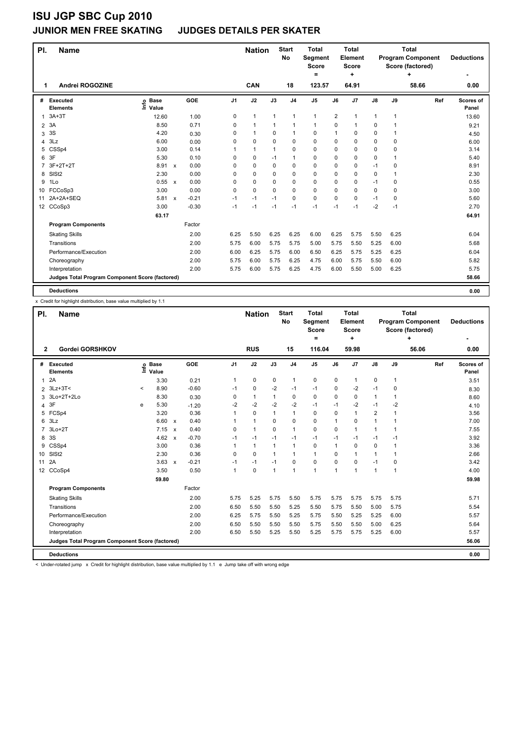#### **JUNIOR MEN FREE SKATING JUDGES DETAILS PER SKATER**

| PI.             | Name                                            |                              |                           |         |                | <b>Nation</b> |              | <b>Start</b><br><b>No</b> | <b>Total</b><br>Segment<br><b>Score</b><br>$=$ |                | <b>Total</b><br>Element<br>Score<br>÷ |               |              | <b>Total</b><br><b>Program Component</b><br>Score (factored)<br>÷ | <b>Deductions</b>  |
|-----------------|-------------------------------------------------|------------------------------|---------------------------|---------|----------------|---------------|--------------|---------------------------|------------------------------------------------|----------------|---------------------------------------|---------------|--------------|-------------------------------------------------------------------|--------------------|
| 1               | Andrei ROGOZINE                                 |                              |                           |         |                | CAN           |              | 18                        | 123.57                                         |                | 64.91                                 |               |              | 58.66                                                             | 0.00               |
| #               | Executed<br><b>Elements</b>                     | <b>Base</b><br>Info<br>Value |                           | GOE     | J <sub>1</sub> | J2            | J3           | J <sub>4</sub>            | J <sub>5</sub>                                 | J6             | J7                                    | $\mathsf{J}8$ | J9           | Ref                                                               | Scores of<br>Panel |
| 1               | $3A+3T$                                         | 12.60                        |                           | 1.00    | 0              | $\mathbf{1}$  | $\mathbf{1}$ | $\mathbf{1}$              | $\mathbf{1}$                                   | $\overline{2}$ | $\mathbf{1}$                          | $\mathbf{1}$  | $\mathbf{1}$ |                                                                   | 13.60              |
| $\overline{2}$  | 3A                                              | 8.50                         |                           | 0.71    | 0              | $\mathbf{1}$  | $\mathbf{1}$ | $\mathbf{1}$              | 1                                              | 0              | $\mathbf{1}$                          | 0             | 1            |                                                                   | 9.21               |
| 3               | 3S                                              | 4.20                         |                           | 0.30    | 0              | $\mathbf 1$   | 0            | $\mathbf{1}$              | $\mathbf 0$                                    | 1              | 0                                     | 0             | 1            |                                                                   | 4.50               |
| 4               | 3Lz                                             | 6.00                         |                           | 0.00    | 0              | $\mathbf 0$   | 0            | $\mathbf 0$               | $\mathbf 0$                                    | 0              | 0                                     | 0             | 0            |                                                                   | 6.00               |
| 5               | CSSp4                                           | 3.00                         |                           | 0.14    |                | $\mathbf{1}$  | 1            | 0                         | $\mathbf 0$                                    | 0              | 0                                     | 0             | 0            |                                                                   | 3.14               |
| 6               | 3F                                              | 5.30                         |                           | 0.10    | 0              | $\mathbf 0$   | $-1$         | $\mathbf{1}$              | $\mathbf 0$                                    | 0              | 0                                     | 0             | 1            |                                                                   | 5.40               |
| 7               | 3F+2T+2T                                        | 8.91                         | $\mathsf{x}$              | 0.00    | 0              | $\mathbf 0$   | 0            | $\mathbf 0$               | $\mathbf 0$                                    | 0              | 0                                     | $-1$          | 0            |                                                                   | 8.91               |
| 8               | SISt <sub>2</sub>                               | 2.30                         |                           | 0.00    | 0              | $\mathbf 0$   | $\Omega$     | $\mathbf 0$               | $\mathbf 0$                                    | 0              | 0                                     | 0             | $\mathbf{1}$ |                                                                   | 2.30               |
| 9               | 1Lo                                             | 0.55                         | $\mathbf{x}$              | 0.00    | $\Omega$       | $\mathbf 0$   | $\Omega$     | 0                         | $\mathbf 0$                                    | 0              | 0                                     | $-1$          | 0            |                                                                   | 0.55               |
| 10 <sup>1</sup> | FCCoSp3                                         | 3.00                         |                           | 0.00    | 0              | $\mathbf 0$   | $\mathbf 0$  | $\mathbf 0$               | $\mathbf 0$                                    | 0              | 0                                     | 0             | 0            |                                                                   | 3.00               |
| 11              | 2A+2A+SEQ                                       | 5.81                         | $\boldsymbol{\mathsf{x}}$ | $-0.21$ | $-1$           | $-1$          | $-1$         | $\mathbf 0$               | $\mathbf 0$                                    | 0              | 0                                     | $-1$          | 0            |                                                                   | 5.60               |
|                 | 12 CCoSp3                                       | 3.00                         |                           | $-0.30$ | $-1$           | $-1$          | $-1$         | $-1$                      | $-1$                                           | $-1$           | $-1$                                  | $-2$          | $-1$         |                                                                   | 2.70               |
|                 |                                                 | 63.17                        |                           |         |                |               |              |                           |                                                |                |                                       |               |              |                                                                   | 64.91              |
|                 | <b>Program Components</b>                       |                              |                           | Factor  |                |               |              |                           |                                                |                |                                       |               |              |                                                                   |                    |
|                 | <b>Skating Skills</b>                           |                              |                           | 2.00    | 6.25           | 5.50          | 6.25         | 6.25                      | 6.00                                           | 6.25           | 5.75                                  | 5.50          | 6.25         |                                                                   | 6.04               |
|                 | Transitions                                     |                              |                           | 2.00    | 5.75           | 6.00          | 5.75         | 5.75                      | 5.00                                           | 5.75           | 5.50                                  | 5.25          | 6.00         |                                                                   | 5.68               |
|                 | Performance/Execution                           |                              |                           | 2.00    | 6.00           | 6.25          | 5.75         | 6.00                      | 6.50                                           | 6.25           | 5.75                                  | 5.25          | 6.25         |                                                                   | 6.04               |
|                 | Choreography                                    |                              |                           | 2.00    | 5.75           | 6.00          | 5.75         | 6.25                      | 4.75                                           | 6.00           | 5.75                                  | 5.50          | 6.00         |                                                                   | 5.82               |
|                 | Interpretation                                  |                              |                           | 2.00    | 5.75           | 6.00          | 5.75         | 6.25                      | 4.75                                           | 6.00           | 5.50                                  | 5.00          | 6.25         |                                                                   | 5.75               |
|                 | Judges Total Program Component Score (factored) |                              |                           |         |                |               |              |                           |                                                |                |                                       |               |              |                                                                   | 58.66              |
|                 | <b>Deductions</b>                               |                              |                           |         |                |               |              |                           |                                                |                |                                       |               |              |                                                                   | 0.00               |

x Credit for highlight distribution, base value multiplied by 1.1

| PI.            | <b>Name</b>                                     |         |                      |                           |         |                | <b>Nation</b> |              | <b>Start</b><br><b>No</b> | <b>Total</b><br>Segment<br><b>Score</b><br>$=$ |      | <b>Total</b><br>Element<br><b>Score</b><br>÷ |                |              | <b>Total</b><br><b>Program Component</b><br>Score (factored)<br>÷ | <b>Deductions</b>  |
|----------------|-------------------------------------------------|---------|----------------------|---------------------------|---------|----------------|---------------|--------------|---------------------------|------------------------------------------------|------|----------------------------------------------|----------------|--------------|-------------------------------------------------------------------|--------------------|
| $\overline{2}$ | Gordei GORSHKOV                                 |         |                      |                           |         |                | <b>RUS</b>    |              | 15                        | 116.04                                         |      | 59.98                                        |                |              | 56.06                                                             | 0.00               |
| #              | Executed<br><b>Elements</b>                     | Life    | <b>Base</b><br>Value |                           | GOE     | J <sub>1</sub> | J2            | J3           | J <sub>4</sub>            | J <sub>5</sub>                                 | J6   | J <sub>7</sub>                               | $\mathsf{J}8$  | J9           | Ref                                                               | Scores of<br>Panel |
| $\mathbf{1}$   | 2A                                              |         | 3.30                 |                           | 0.21    | 1              | 0             | 0            | 1                         | 0                                              | 0    | $\mathbf{1}$                                 | 0              | $\mathbf{1}$ |                                                                   | 3.51               |
|                | 2 3Lz+3T<                                       | $\,<\,$ | 8.90                 |                           | $-0.60$ | $-1$           | $\mathbf 0$   | $-2$         | $-1$                      | $-1$                                           | 0    | $-2$                                         | $-1$           | 0            |                                                                   | 8.30               |
| 3              | 3Lo+2T+2Lo                                      |         | 8.30                 |                           | 0.30    | 0              | $\mathbf{1}$  | $\mathbf{1}$ | $\mathbf 0$               | 0                                              | 0    | 0                                            | 1              | $\mathbf{1}$ |                                                                   | 8.60               |
| 4              | 3F                                              | e       | 5.30                 |                           | $-1.20$ | -2             | $-2$          | $-2$         | $-2$                      | $-1$                                           | $-1$ | $-2$                                         | $-1$           | $-2$         |                                                                   | 4.10               |
| 5              | FCSp4                                           |         | 3.20                 |                           | 0.36    | 1              | 0             | 1            | $\mathbf{1}$              | 0                                              | 0    | 1                                            | $\overline{2}$ | 1            |                                                                   | 3.56               |
| 6              | 3Lz                                             |         | 6.60                 | $\boldsymbol{\mathsf{x}}$ | 0.40    | 1              | $\mathbf{1}$  | $\Omega$     | $\mathbf 0$               | 0                                              | 1    | 0                                            | $\mathbf{1}$   | 1            |                                                                   | 7.00               |
|                | $3Lo+2T$                                        |         | 7.15                 | $\boldsymbol{\mathsf{x}}$ | 0.40    | 0              | $\mathbf{1}$  | 0            | $\mathbf{1}$              | 0                                              | 0    | $\mathbf{1}$                                 | $\mathbf{1}$   | $\mathbf{1}$ |                                                                   | 7.55               |
| 8              | 3S                                              |         | 4.62                 | $\boldsymbol{\mathsf{x}}$ | $-0.70$ | $-1$           | $-1$          | $-1$         | $-1$                      | $-1$                                           | -1   | $-1$                                         | $-1$           | $-1$         |                                                                   | 3.92               |
| 9              | CSSp4                                           |         | 3.00                 |                           | 0.36    | 1              | $\mathbf{1}$  | $\mathbf{1}$ | $\mathbf{1}$              | 0                                              | 1    | 0                                            | 0              | 1            |                                                                   | 3.36               |
|                | 10 SISt2                                        |         | 2.30                 |                           | 0.36    | $\Omega$       | $\Omega$      | $\mathbf{1}$ | $\mathbf{1}$              | $\mathbf{1}$                                   | 0    | 1                                            | 1              | $\mathbf 1$  |                                                                   | 2.66               |
| 11             | 2A                                              |         | 3.63                 | $\boldsymbol{\mathsf{x}}$ | $-0.21$ | $-1$           | $-1$          | $-1$         | $\Omega$                  | $\Omega$                                       | 0    | $\Omega$                                     | $-1$           | $\Omega$     |                                                                   | 3.42               |
|                | 12 CCoSp4                                       |         | 3.50                 |                           | 0.50    | $\mathbf{1}$   | 0             | $\mathbf{1}$ | 1                         | $\mathbf{1}$                                   | 1    | 1                                            | 1              | 1            |                                                                   | 4.00               |
|                |                                                 |         | 59.80                |                           |         |                |               |              |                           |                                                |      |                                              |                |              |                                                                   | 59.98              |
|                | <b>Program Components</b>                       |         |                      |                           | Factor  |                |               |              |                           |                                                |      |                                              |                |              |                                                                   |                    |
|                | <b>Skating Skills</b>                           |         |                      |                           | 2.00    | 5.75           | 5.25          | 5.75         | 5.50                      | 5.75                                           | 5.75 | 5.75                                         | 5.75           | 5.75         |                                                                   | 5.71               |
|                | Transitions                                     |         |                      |                           | 2.00    | 6.50           | 5.50          | 5.50         | 5.25                      | 5.50                                           | 5.75 | 5.50                                         | 5.00           | 5.75         |                                                                   | 5.54               |
|                | Performance/Execution                           |         |                      |                           | 2.00    | 6.25           | 5.75          | 5.50         | 5.25                      | 5.75                                           | 5.50 | 5.25                                         | 5.25           | 6.00         |                                                                   | 5.57               |
|                | Choreography                                    |         |                      |                           | 2.00    | 6.50           | 5.50          | 5.50         | 5.50                      | 5.75                                           | 5.50 | 5.50                                         | 5.00           | 6.25         |                                                                   | 5.64               |
|                | Interpretation                                  |         |                      |                           | 2.00    | 6.50           | 5.50          | 5.25         | 5.50                      | 5.25                                           | 5.75 | 5.75                                         | 5.25           | 6.00         |                                                                   | 5.57               |
|                | Judges Total Program Component Score (factored) |         |                      |                           |         |                |               |              |                           |                                                |      |                                              |                |              |                                                                   | 56.06              |
|                | <b>Deductions</b>                               |         |                      |                           |         |                |               |              |                           |                                                |      |                                              |                |              |                                                                   | 0.00               |

< Under-rotated jump x Credit for highlight distribution, base value multiplied by 1.1 e Jump take off with wrong edge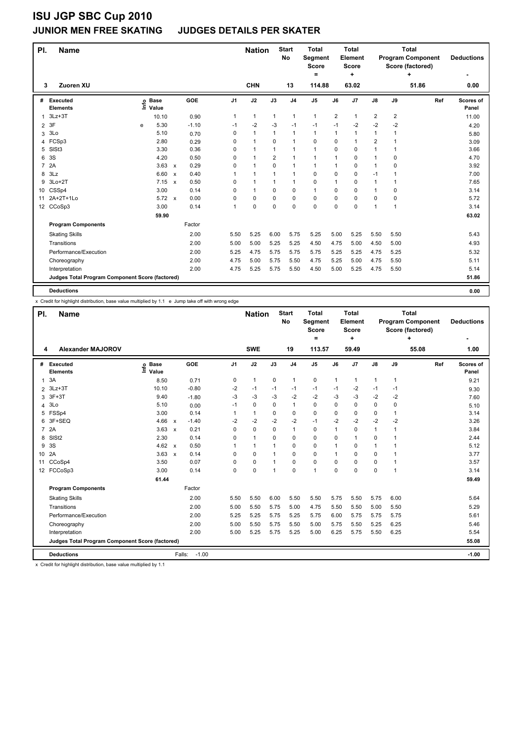#### **JUNIOR MEN FREE SKATING JUDGES DETAILS PER SKATER**

| PI.            | <b>Name</b>                                     |      |                      |                           |         |                | <b>Nation</b> |              | <b>Start</b><br>No | <b>Total</b><br>Segment<br>Score<br>= |                | <b>Total</b><br><b>Element</b><br>Score<br>٠ |                         |                         | <b>Total</b><br><b>Program Component</b><br>Score (factored)<br>٠ | <b>Deductions</b>  |
|----------------|-------------------------------------------------|------|----------------------|---------------------------|---------|----------------|---------------|--------------|--------------------|---------------------------------------|----------------|----------------------------------------------|-------------------------|-------------------------|-------------------------------------------------------------------|--------------------|
| 3              | Zuoren XU                                       |      |                      |                           |         |                | <b>CHN</b>    |              | 13                 | 114.88                                |                | 63.02                                        |                         |                         | 51.86                                                             | 0.00               |
| #              | Executed<br><b>Elements</b>                     | lnfo | <b>Base</b><br>Value |                           | GOE     | J <sub>1</sub> | J2            | J3           | J <sub>4</sub>     | J <sub>5</sub>                        | J6             | J <sub>7</sub>                               | $\mathsf{J}8$           | J9                      | Ref                                                               | Scores of<br>Panel |
| 1              | $3Lz + 3T$                                      |      | 10.10                |                           | 0.90    | 1              | $\mathbf{1}$  | $\mathbf{1}$ | $\mathbf{1}$       | $\mathbf{1}$                          | $\overline{2}$ | 1                                            | $\overline{\mathbf{c}}$ | $\overline{\mathbf{c}}$ |                                                                   | 11.00              |
| $\overline{2}$ | 3F                                              | е    | 5.30                 |                           | $-1.10$ | $-1$           | -2            | $-3$         | $-1$               | $-1$                                  | $-1$           | $-2$                                         | $-2$                    | -2                      |                                                                   | 4.20               |
| 3              | 3Lo                                             |      | 5.10                 |                           | 0.70    | 0              | $\mathbf{1}$  | $\mathbf{1}$ | $\mathbf{1}$       | $\mathbf{1}$                          | 1              | 1                                            | 1                       | 1                       |                                                                   | 5.80               |
| 4              | FCSp3                                           |      | 2.80                 |                           | 0.29    | 0              | $\mathbf{1}$  | 0            | $\mathbf{1}$       | $\mathbf 0$                           | 0              | 1                                            | $\overline{\mathbf{c}}$ |                         |                                                                   | 3.09               |
| 5              | SIS <sub>t3</sub>                               |      | 3.30                 |                           | 0.36    | 0              | $\mathbf{1}$  | 1            | $\mathbf{1}$       | $\mathbf{1}$                          | 0              | 0                                            | 1                       | 1                       |                                                                   | 3.66               |
| 6              | 3S                                              |      | 4.20                 |                           | 0.50    | $\Omega$       | $\mathbf{1}$  | 2            | $\mathbf{1}$       | $\mathbf{1}$                          | 1              | 0                                            | 1                       | 0                       |                                                                   | 4.70               |
| $\overline{7}$ | 2A                                              |      | 3.63                 | $\mathsf{x}$              | 0.29    | $\Omega$       | $\mathbf{1}$  | 0            | $\mathbf{1}$       | $\mathbf{1}$                          | 1              | 0                                            | $\mathbf{1}$            | 0                       |                                                                   | 3.92               |
| 8              | 3Lz                                             |      | 6.60                 | $\boldsymbol{\mathsf{x}}$ | 0.40    | 1              | $\mathbf{1}$  | 1            | $\mathbf 1$        | 0                                     | 0              | 0                                            | $-1$                    | 1                       |                                                                   | 7.00               |
| 9              | $3Lo+2T$                                        |      | 7.15                 | $\boldsymbol{\mathsf{x}}$ | 0.50    | 0              | $\mathbf{1}$  | $\mathbf{1}$ | $\mathbf{1}$       | 0                                     | $\mathbf{1}$   | 0                                            | 1                       | 1                       |                                                                   | 7.65               |
| 10             | CSSp4                                           |      | 3.00                 |                           | 0.14    | 0              | $\mathbf{1}$  | 0            | $\mathbf 0$        | $\mathbf{1}$                          | 0              | 0                                            | 1                       | 0                       |                                                                   | 3.14               |
| 11             | 2A+2T+1Lo                                       |      | $5.72 \times$        |                           | 0.00    | 0              | 0             | $\Omega$     | 0                  | 0                                     | $\Omega$       | 0                                            | 0                       | 0                       |                                                                   | 5.72               |
|                | 12 CCoSp3                                       |      | 3.00                 |                           | 0.14    | 1              | $\mathbf 0$   | 0            | $\mathbf 0$        | 0                                     | $\Omega$       | 0                                            | 1                       | 1                       |                                                                   | 3.14               |
|                |                                                 |      | 59.90                |                           |         |                |               |              |                    |                                       |                |                                              |                         |                         |                                                                   | 63.02              |
|                | <b>Program Components</b>                       |      |                      |                           | Factor  |                |               |              |                    |                                       |                |                                              |                         |                         |                                                                   |                    |
|                | <b>Skating Skills</b>                           |      |                      |                           | 2.00    | 5.50           | 5.25          | 6.00         | 5.75               | 5.25                                  | 5.00           | 5.25                                         | 5.50                    | 5.50                    |                                                                   | 5.43               |
|                | Transitions                                     |      |                      |                           | 2.00    | 5.00           | 5.00          | 5.25         | 5.25               | 4.50                                  | 4.75           | 5.00                                         | 4.50                    | 5.00                    |                                                                   | 4.93               |
|                | Performance/Execution                           |      |                      |                           | 2.00    | 5.25           | 4.75          | 5.75         | 5.75               | 5.75                                  | 5.25           | 5.25                                         | 4.75                    | 5.25                    |                                                                   | 5.32               |
|                | Choreography                                    |      |                      |                           | 2.00    | 4.75           | 5.00          | 5.75         | 5.50               | 4.75                                  | 5.25           | 5.00                                         | 4.75                    | 5.50                    |                                                                   | 5.11               |
|                | Interpretation                                  |      |                      |                           | 2.00    | 4.75           | 5.25          | 5.75         | 5.50               | 4.50                                  | 5.00           | 5.25                                         | 4.75                    | 5.50                    |                                                                   | 5.14               |
|                | Judges Total Program Component Score (factored) |      |                      |                           |         |                |               |              |                    |                                       |                |                                              |                         |                         |                                                                   | 51.86              |
|                | <b>Deductions</b>                               |      |                      |                           |         |                |               |              |                    |                                       |                |                                              |                         |                         |                                                                   | 0.00               |

x Credit for highlight distribution, base value multiplied by 1.1 e Jump take off with wrong edge

| PI.             | <b>Name</b>                                     |                            |                           |         |                | <b>Nation</b> |                | <b>Start</b><br>No | <b>Total</b><br>Segment<br><b>Score</b><br>= |      | <b>Total</b><br>Element<br><b>Score</b><br>٠ |              |              | <b>Total</b><br><b>Program Component</b><br>Score (factored)<br>+ | <b>Deductions</b>  |
|-----------------|-------------------------------------------------|----------------------------|---------------------------|---------|----------------|---------------|----------------|--------------------|----------------------------------------------|------|----------------------------------------------|--------------|--------------|-------------------------------------------------------------------|--------------------|
| 4               | <b>Alexander MAJOROV</b>                        |                            |                           |         |                | <b>SWE</b>    |                | 19                 | 113.57                                       |      | 59.49                                        |              |              | 55.08                                                             | 1.00               |
| #               | Executed<br><b>Elements</b>                     | e Base<br>≡ Value<br>Value |                           | GOE     | J <sub>1</sub> | J2            | J3             | J <sub>4</sub>     | J <sub>5</sub>                               | J6   | J7                                           | J8           | J9           | Ref                                                               | Scores of<br>Panel |
| 1               | 3A                                              | 8.50                       |                           | 0.71    | 0              | $\mathbf{1}$  | 0              | 1                  | 0                                            | 1    | 1                                            | $\mathbf{1}$ | 1            |                                                                   | 9.21               |
| $\overline{2}$  | $3Lz + 3T$                                      | 10.10                      |                           | $-0.80$ | $-2$           | $-1$          | $-1$           | -1                 | $-1$                                         | $-1$ | $-2$                                         | $-1$         | -1           |                                                                   | 9.30               |
| 3               | $3F+3T$                                         | 9.40                       |                           | $-1.80$ | $-3$           | $-3$          | -3             | $-2$               | $-2$                                         | $-3$ | $-3$                                         | $-2$         | $-2$         |                                                                   | 7.60               |
| 4               | 3Lo                                             | 5.10                       |                           | 0.00    | $-1$           | $\Omega$      | 0              | $\mathbf{1}$       | $\Omega$                                     | 0    | $\Omega$                                     | 0            | $\Omega$     |                                                                   | 5.10               |
| 5               | FSSp4                                           | 3.00                       |                           | 0.14    | 1              | $\mathbf{1}$  | 0              | 0                  | 0                                            | 0    | 0                                            | 0            | 1            |                                                                   | 3.14               |
| 6               | 3F+SEQ                                          | 4.66                       | $\boldsymbol{\mathsf{x}}$ | $-1.40$ | $-2$           | $-2$          | $-2$           | $-2$               | $-1$                                         | $-2$ | $-2$                                         | $-2$         | $-2$         |                                                                   | 3.26               |
| 7               | 2A                                              | 3.63                       | $\boldsymbol{\mathsf{x}}$ | 0.21    | $\Omega$       | 0             | 0              | $\mathbf{1}$       | 0                                            | 1    | $\Omega$                                     | $\mathbf{1}$ | $\mathbf{1}$ |                                                                   | 3.84               |
| 8               | SIS <sub>t2</sub>                               | 2.30                       |                           | 0.14    | $\Omega$       | $\mathbf{1}$  | 0              | $\mathbf 0$        | 0                                            | 0    | 1                                            | 0            | $\mathbf{1}$ |                                                                   | 2.44               |
| 9               | 3S                                              | 4.62                       | $\mathsf{x}$              | 0.50    | 1              | $\mathbf{1}$  | 1              | 0                  | 0                                            | 1    | 0                                            | $\mathbf{1}$ | 1            |                                                                   | 5.12               |
| 10 <sup>°</sup> | 2A                                              | 3.63                       | $\boldsymbol{\mathsf{x}}$ | 0.14    | $\Omega$       | $\Omega$      | 1              | $\Omega$           | $\Omega$                                     | 1    | $\Omega$                                     | 0            | $\mathbf 1$  |                                                                   | 3.77               |
| 11              | CCoSp4                                          | 3.50                       |                           | 0.07    | 0              | 0             | 1              | $\mathbf 0$        | 0                                            | 0    | 0                                            | 0            | 1            |                                                                   | 3.57               |
|                 | 12 FCCoSp3                                      | 3.00                       |                           | 0.14    | $\Omega$       | $\Omega$      | $\overline{1}$ | $\Omega$           | 1                                            | 0    | $\Omega$                                     | 0            | $\mathbf{1}$ |                                                                   | 3.14               |
|                 |                                                 | 61.44                      |                           |         |                |               |                |                    |                                              |      |                                              |              |              |                                                                   | 59.49              |
|                 | <b>Program Components</b>                       |                            |                           | Factor  |                |               |                |                    |                                              |      |                                              |              |              |                                                                   |                    |
|                 | <b>Skating Skills</b>                           |                            |                           | 2.00    | 5.50           | 5.50          | 6.00           | 5.50               | 5.50                                         | 5.75 | 5.50                                         | 5.75         | 6.00         |                                                                   | 5.64               |
|                 | Transitions                                     |                            |                           | 2.00    | 5.00           | 5.50          | 5.75           | 5.00               | 4.75                                         | 5.50 | 5.50                                         | 5.00         | 5.50         |                                                                   | 5.29               |
|                 | Performance/Execution                           |                            |                           | 2.00    | 5.25           | 5.25          | 5.75           | 5.25               | 5.75                                         | 6.00 | 5.75                                         | 5.75         | 5.75         |                                                                   | 5.61               |
|                 | Choreography                                    |                            |                           | 2.00    | 5.00           | 5.50          | 5.75           | 5.50               | 5.00                                         | 5.75 | 5.50                                         | 5.25         | 6.25         |                                                                   | 5.46               |
|                 | Interpretation                                  |                            |                           | 2.00    | 5.00           | 5.25          | 5.75           | 5.25               | 5.00                                         | 6.25 | 5.75                                         | 5.50         | 6.25         |                                                                   | 5.54               |
|                 | Judges Total Program Component Score (factored) |                            |                           |         |                |               |                |                    |                                              |      |                                              |              |              |                                                                   | 55.08              |
|                 | <b>Deductions</b>                               |                            | Falls:                    | $-1.00$ |                |               |                |                    |                                              |      |                                              |              |              |                                                                   | $-1.00$            |

x Credit for highlight distribution, base value multiplied by 1.1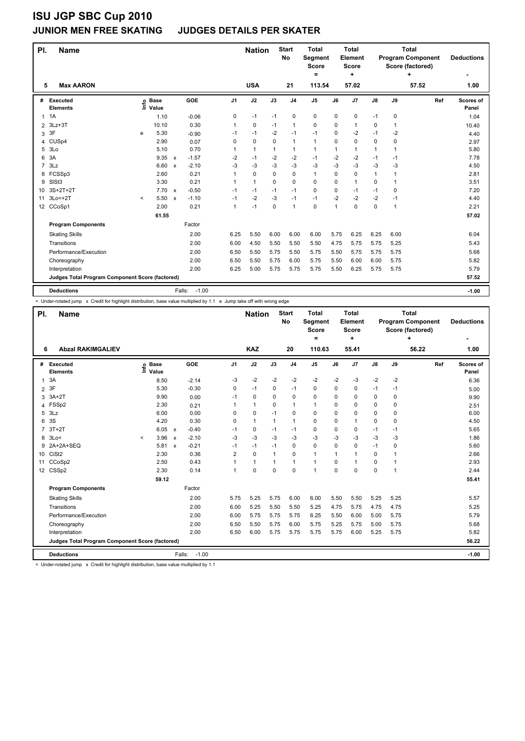#### **JUNIOR MEN FREE SKATING JUDGES DETAILS PER SKATER**

| PI.            | <b>Name</b>                                     |         |                            |                           |         |                | <b>Nation</b> |      | <b>Start</b><br><b>No</b> | <b>Total</b><br>Segment<br><b>Score</b><br>= |             | <b>Total</b><br>Element<br><b>Score</b><br>÷ |              |      | <b>Total</b><br><b>Program Component</b><br>Score (factored)<br>٠ | <b>Deductions</b>  |
|----------------|-------------------------------------------------|---------|----------------------------|---------------------------|---------|----------------|---------------|------|---------------------------|----------------------------------------------|-------------|----------------------------------------------|--------------|------|-------------------------------------------------------------------|--------------------|
| 5              | <b>Max AARON</b>                                |         |                            |                           |         |                | <b>USA</b>    |      | 21                        | 113.54                                       |             | 57.02                                        |              |      | 57.52                                                             | 1.00               |
| #              | Executed<br><b>Elements</b>                     |         | e Base<br>⊆ Value<br>Value |                           | GOE     | J <sub>1</sub> | J2            | J3   | J <sub>4</sub>            | J <sub>5</sub>                               | J6          | J <sub>7</sub>                               | J8           | J9   | Ref                                                               | Scores of<br>Panel |
| $\mathbf{1}$   | 1A                                              |         | 1.10                       |                           | $-0.06$ | 0              | $-1$          | $-1$ | 0                         | 0                                            | $\mathbf 0$ | 0                                            | $-1$         | 0    |                                                                   | 1.04               |
| $\overline{2}$ | $3Lz + 3T$                                      |         | 10.10                      |                           | 0.30    | 1              | 0             | $-1$ | $\mathbf{1}$              | 0                                            | 0           | 1                                            | 0            | 1    |                                                                   | 10.40              |
| 3              | 3F                                              | e       | 5.30                       |                           | $-0.90$ | $-1$           | $-1$          | $-2$ | $-1$                      | $-1$                                         | 0           | $-2$                                         | $-1$         | $-2$ |                                                                   | 4.40               |
| 4              | CUS <sub>p4</sub>                               |         | 2.90                       |                           | 0.07    | 0              | 0             | 0    | $\mathbf{1}$              | 1                                            | 0           | 0                                            | 0            | 0    |                                                                   | 2.97               |
| 5              | 3 <sub>LO</sub>                                 |         | 5.10                       |                           | 0.70    | 1              | $\mathbf{1}$  | 1    | 1                         | 1                                            | 1           | 1                                            | 1            | 1    |                                                                   | 5.80               |
| 6              | 3A                                              |         | 9.35                       | $\boldsymbol{\mathsf{x}}$ | $-1.57$ | $-2$           | $-1$          | $-2$ | $-2$                      | $-1$                                         | $-2$        | $-2$                                         | $-1$         | -1   |                                                                   | 7.78               |
| $\overline{7}$ | 3Lz                                             |         | 6.60                       | $\boldsymbol{\mathsf{x}}$ | $-2.10$ | $-3$           | -3            | $-3$ | $-3$                      | $-3$                                         | $-3$        | $-3$                                         | $-3$         | -3   |                                                                   | 4.50               |
| 8              | FCSSp3                                          |         | 2.60                       |                           | 0.21    | 1              | 0             | 0    | $\mathbf 0$               | $\mathbf{1}$                                 | 0           | $\mathbf 0$                                  | $\mathbf{1}$ | 1    |                                                                   | 2.81               |
| 9              | SISt <sub>3</sub>                               |         | 3.30                       |                           | 0.21    | 1              | $\mathbf{1}$  | 0    | 0                         | 0                                            | 0           | $\mathbf{1}$                                 | 0            | 1    |                                                                   | 3.51               |
| 10             | 3S+2T+2T                                        |         | 7.70                       | $\boldsymbol{\mathsf{x}}$ | $-0.50$ | $-1$           | $-1$          | $-1$ | $-1$                      | 0                                            | 0           | $-1$                                         | $-1$         | 0    |                                                                   | 7.20               |
| 11             | $3Lo < +2T$                                     | $\prec$ | 5.50                       | $\boldsymbol{\mathsf{x}}$ | $-1.10$ | $-1$           | $-2$          | $-3$ | $-1$                      | $-1$                                         | $-2$        | $-2$                                         | $-2$         | $-1$ |                                                                   | 4.40               |
|                | 12 CCoSp1                                       |         | 2.00                       |                           | 0.21    | 1              | $-1$          | 0    | $\mathbf{1}$              | $\Omega$                                     | 1           | 0                                            | 0            | 1    |                                                                   | 2.21               |
|                |                                                 |         | 61.55                      |                           |         |                |               |      |                           |                                              |             |                                              |              |      |                                                                   | 57.02              |
|                | <b>Program Components</b>                       |         |                            |                           | Factor  |                |               |      |                           |                                              |             |                                              |              |      |                                                                   |                    |
|                | <b>Skating Skills</b>                           |         |                            |                           | 2.00    | 6.25           | 5.50          | 6.00 | 6.00                      | 6.00                                         | 5.75        | 6.25                                         | 6.25         | 6.00 |                                                                   | 6.04               |
|                | Transitions                                     |         |                            |                           | 2.00    | 6.00           | 4.50          | 5.50 | 5.50                      | 5.50                                         | 4.75        | 5.75                                         | 5.75         | 5.25 |                                                                   | 5.43               |
|                | Performance/Execution                           |         |                            |                           | 2.00    | 6.50           | 5.50          | 5.75 | 5.50                      | 5.75                                         | 5.50        | 5.75                                         | 5.75         | 5.75 |                                                                   | 5.68               |
|                | Choreography                                    |         |                            |                           | 2.00    | 6.50           | 5.50          | 5.75 | 6.00                      | 5.75                                         | 5.50        | 6.00                                         | 6.00         | 5.75 |                                                                   | 5.82               |
|                | Interpretation                                  |         |                            |                           | 2.00    | 6.25           | 5.00          | 5.75 | 5.75                      | 5.75                                         | 5.50        | 6.25                                         | 5.75         | 5.75 |                                                                   | 5.79               |
|                | Judges Total Program Component Score (factored) |         |                            |                           |         |                |               |      |                           |                                              |             |                                              |              |      |                                                                   | 57.52              |
|                | <b>Deductions</b>                               |         |                            | Falls:                    | $-1.00$ |                |               |      |                           |                                              |             |                                              |              |      |                                                                   | $-1.00$            |

< Under-rotated jump x Credit for highlight distribution, base value multiplied by 1.1 e Jump take off with wrong edge

| PI.            | <b>Name</b>                                     |                          |       |                           |         |                | <b>Nation</b> |              | <b>Start</b><br><b>No</b> | <b>Total</b><br>Segment<br><b>Score</b><br>Ξ |          | <b>Total</b><br>Element<br><b>Score</b><br>÷ |               |              | <b>Total</b><br><b>Program Component</b><br>Score (factored)<br>÷ | <b>Deductions</b>  |
|----------------|-------------------------------------------------|--------------------------|-------|---------------------------|---------|----------------|---------------|--------------|---------------------------|----------------------------------------------|----------|----------------------------------------------|---------------|--------------|-------------------------------------------------------------------|--------------------|
| 6              | <b>Abzal RAKIMGALIEV</b>                        |                          |       |                           |         |                | <b>KAZ</b>    |              | 20                        | 110.63                                       |          | 55.41                                        |               |              | 56.22                                                             | 1.00               |
| #              | Executed<br><b>Elements</b>                     | e Base<br>E Value        | Value |                           | GOE     | J <sub>1</sub> | J2            | J3           | J <sub>4</sub>            | J5                                           | J6       | J <sub>7</sub>                               | $\mathsf{J}8$ | J9           | Ref                                                               | Scores of<br>Panel |
| 1              | 3A                                              |                          | 8.50  |                           | $-2.14$ | -3             | -2            | $-2$         | $-2$                      | $-2$                                         | $-2$     | $-3$                                         | $-2$          | $-2$         |                                                                   | 6.36               |
| $\overline{2}$ | 3F                                              |                          | 5.30  |                           | $-0.30$ | 0              | $-1$          | 0            | $-1$                      | $\mathbf 0$                                  | 0        | $\mathbf 0$                                  | $-1$          | $-1$         |                                                                   | 5.00               |
| 3              | $3A+2T$                                         |                          | 9.90  |                           | 0.00    | $-1$           | $\mathbf 0$   | $\Omega$     | 0                         | $\mathbf 0$                                  | 0        | 0                                            | $\Omega$      | 0            |                                                                   | 9.90               |
| 4              | FSSp2                                           |                          | 2.30  |                           | 0.21    |                | $\mathbf{1}$  | $\Omega$     | $\mathbf{1}$              | $\mathbf{1}$                                 | 0        | 0                                            | 0             | 0            |                                                                   | 2.51               |
| 5              | 3Lz                                             |                          | 6.00  |                           | 0.00    | 0              | $\mathbf 0$   | $-1$         | $\mathbf 0$               | 0                                            | 0        | 0                                            | 0             | 0            |                                                                   | 6.00               |
| 6              | 3S                                              |                          | 4.20  |                           | 0.30    | 0              | $\mathbf{1}$  | $\mathbf{1}$ | $\mathbf{1}$              | $\mathbf 0$                                  | 0        | 1                                            | 0             | 0            |                                                                   | 4.50               |
| $\overline{7}$ | $3T+2T$                                         |                          | 6.05  | $\mathsf{x}$              | $-0.40$ | $-1$           | $\mathbf 0$   | $-1$         | $-1$                      | 0                                            | 0        | $\mathbf 0$                                  | $-1$          | -1           |                                                                   | 5.65               |
| 8              | 3Lo<                                            | $\overline{\phantom{a}}$ | 3.96  | $\boldsymbol{\mathsf{x}}$ | $-2.10$ | -3             | $-3$          | $-3$         | $-3$                      | $-3$                                         | -3       | $-3$                                         | $-3$          | $-3$         |                                                                   | 1.86               |
| 9              | 2A+2A+SEQ                                       |                          | 5.81  | $\boldsymbol{\mathsf{x}}$ | $-0.21$ | $-1$           | $-1$          | $-1$         | $\Omega$                  | $\mathbf 0$                                  | $\Omega$ | $\Omega$                                     | $-1$          | 0            |                                                                   | 5.60               |
| 10             | CiSt <sub>2</sub>                               |                          | 2.30  |                           | 0.36    | $\overline{2}$ | $\mathbf 0$   | $\mathbf{1}$ | 0                         | $\mathbf{1}$                                 | 1        | $\mathbf{1}$                                 | 0             | $\mathbf{1}$ |                                                                   | 2.66               |
| 11             | CCoSp2                                          |                          | 2.50  |                           | 0.43    |                | $\mathbf{1}$  | 1            | $\mathbf{1}$              | $\mathbf{1}$                                 | 0        | 1                                            | 0             | 1            |                                                                   | 2.93               |
|                | 12 CSSp2                                        |                          | 2.30  |                           | 0.14    |                | $\mathbf 0$   | $\Omega$     | $\mathbf 0$               | $\blacktriangleleft$                         | 0        | 0                                            | 0             | 1            |                                                                   | 2.44               |
|                |                                                 |                          | 59.12 |                           |         |                |               |              |                           |                                              |          |                                              |               |              |                                                                   | 55.41              |
|                | <b>Program Components</b>                       |                          |       |                           | Factor  |                |               |              |                           |                                              |          |                                              |               |              |                                                                   |                    |
|                | <b>Skating Skills</b>                           |                          |       |                           | 2.00    | 5.75           | 5.25          | 5.75         | 6.00                      | 6.00                                         | 5.50     | 5.50                                         | 5.25          | 5.25         |                                                                   | 5.57               |
|                | Transitions                                     |                          |       |                           | 2.00    | 6.00           | 5.25          | 5.50         | 5.50                      | 5.25                                         | 4.75     | 5.75                                         | 4.75          | 4.75         |                                                                   | 5.25               |
|                | Performance/Execution                           |                          |       |                           | 2.00    | 6.00           | 5.75          | 5.75         | 5.75                      | 6.25                                         | 5.50     | 6.00                                         | 5.00          | 5.75         |                                                                   | 5.79               |
|                | Choreography                                    |                          |       |                           | 2.00    | 6.50           | 5.50          | 5.75         | 6.00                      | 5.75                                         | 5.25     | 5.75                                         | 5.00          | 5.75         |                                                                   | 5.68               |
|                | Interpretation                                  |                          |       |                           | 2.00    | 6.50           | 6.00          | 5.75         | 5.75                      | 5.75                                         | 5.75     | 6.00                                         | 5.25          | 5.75         |                                                                   | 5.82               |
|                | Judges Total Program Component Score (factored) |                          |       |                           |         |                |               |              |                           |                                              |          |                                              |               |              |                                                                   | 56.22              |
|                | <b>Deductions</b>                               |                          |       | Falls:                    | $-1.00$ |                |               |              |                           |                                              |          |                                              |               |              |                                                                   | $-1.00$            |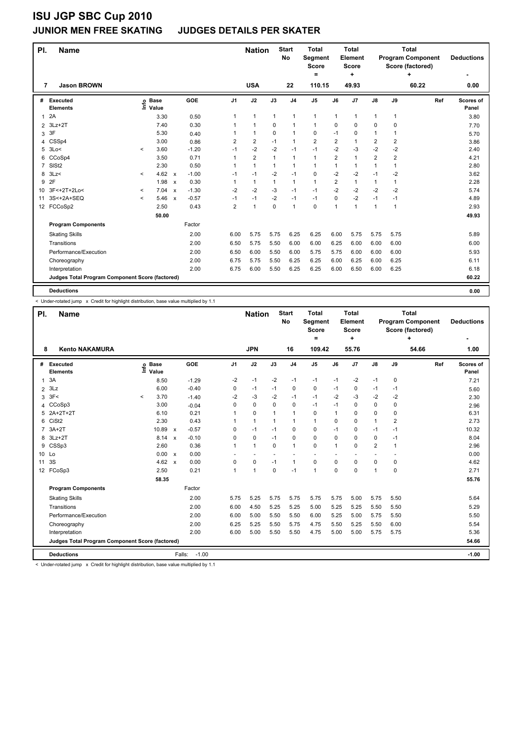#### **JUNIOR MEN FREE SKATING JUDGES DETAILS PER SKATER**

| PI.            | <b>Name</b>                                     |         |                      |                           |         |                | <b>Nation</b>  |              | <b>Start</b><br>No | <b>Total</b><br>Segment<br><b>Score</b><br>٠ |                | <b>Total</b><br><b>Element</b><br><b>Score</b><br>÷ |                         |                | <b>Total</b><br><b>Program Component</b><br>Score (factored)<br>٠ | <b>Deductions</b>  |
|----------------|-------------------------------------------------|---------|----------------------|---------------------------|---------|----------------|----------------|--------------|--------------------|----------------------------------------------|----------------|-----------------------------------------------------|-------------------------|----------------|-------------------------------------------------------------------|--------------------|
| 7              | <b>Jason BROWN</b>                              |         |                      |                           |         |                | <b>USA</b>     |              | 22                 | 110.15                                       |                | 49.93                                               |                         |                | 60.22                                                             | 0.00               |
| #              | Executed<br><b>Elements</b>                     | ۴٥      | <b>Base</b><br>Value |                           | GOE     | J <sub>1</sub> | J2             | J3           | J <sub>4</sub>     | J <sub>5</sub>                               | J6             | J <sub>7</sub>                                      | J8                      | J9             | Ref                                                               | Scores of<br>Panel |
| 1              | 2A                                              |         | 3.30                 |                           | 0.50    | 1              | $\mathbf{1}$   | $\mathbf{1}$ | $\mathbf{1}$       | $\mathbf{1}$                                 | $\mathbf{1}$   | 1                                                   | $\mathbf{1}$            | 1              |                                                                   | 3.80               |
| $\overline{2}$ | $3Lz + 2T$                                      |         | 7.40                 |                           | 0.30    | 1              | $\mathbf{1}$   | $\Omega$     | $\mathbf{1}$       | $\mathbf{1}$                                 | 0              | 0                                                   | 0                       | 0              |                                                                   | 7.70               |
| 3              | 3F                                              |         | 5.30                 |                           | 0.40    |                | $\mathbf{1}$   | 0            | $\mathbf 1$        | 0                                            | $-1$           | 0                                                   | 1                       | 1              |                                                                   | 5.70               |
| 4              | CSSp4                                           |         | 3.00                 |                           | 0.86    | $\overline{2}$ | $\overline{2}$ | $-1$         | $\mathbf 1$        | $\overline{2}$                               | $\overline{2}$ | 1                                                   | $\overline{\mathbf{c}}$ | 2              |                                                                   | 3.86               |
| 5              | 3Lo<                                            | $\,<\,$ | 3.60                 |                           | $-1.20$ | $-1$           | $-2$           | $-2$         | $-1$               | $-1$                                         | $-2$           | $-3$                                                | $-2$                    | $-2$           |                                                                   | 2.40               |
| 6              | CCoSp4                                          |         | 3.50                 |                           | 0.71    | 1              | $\overline{2}$ | $\mathbf{1}$ | $\mathbf{1}$       | $\mathbf{1}$                                 | $\overline{2}$ | 1                                                   | $\overline{2}$          | $\overline{2}$ |                                                                   | 4.21               |
| $\overline{7}$ | SISt <sub>2</sub>                               |         | 2.30                 |                           | 0.50    | 1              | $\mathbf{1}$   | $\mathbf{1}$ | $\mathbf{1}$       | $\mathbf{1}$                                 | 1              | 1                                                   | $\mathbf{1}$            | 1              |                                                                   | 2.80               |
| 8              | 3Lz                                             | $\prec$ | 4.62                 | $\mathsf{x}$              | $-1.00$ | $-1$           | $-1$           | $-2$         | $-1$               | 0                                            | $-2$           | $-2$                                                | $-1$                    | $-2$           |                                                                   | 3.62               |
| 9              | 2F                                              |         | 1.98                 | $\boldsymbol{\mathsf{x}}$ | 0.30    | 1              | $\mathbf{1}$   | $\mathbf{1}$ | $\mathbf{1}$       | $\mathbf{1}$                                 | $\overline{2}$ | $\mathbf{1}$                                        | 1                       | 1              |                                                                   | 2.28               |
| 10             | 3F<+2T+2Lo<                                     | $\prec$ | 7.04                 | $\mathsf{x}$              | $-1.30$ | $-2$           | $-2$           | $-3$         | $-1$               | $-1$                                         | $-2$           | $-2$                                                | $-2$                    | $-2$           |                                                                   | 5.74               |
| 11             | 3S<+2A+SEQ                                      | $\,<\,$ | 5.46                 | $\boldsymbol{\mathsf{x}}$ | $-0.57$ | $-1$           | $-1$           | $-2$         | $-1$               | $-1$                                         | 0              | $-2$                                                | $-1$                    | -1             |                                                                   | 4.89               |
|                | 12 FCCoSp2                                      |         | 2.50                 |                           | 0.43    | $\overline{2}$ | $\mathbf{1}$   | $\mathbf 0$  | $\mathbf{1}$       | $\mathbf 0$                                  | 1              | 1                                                   | 1                       | 1              |                                                                   | 2.93               |
|                |                                                 |         | 50.00                |                           |         |                |                |              |                    |                                              |                |                                                     |                         |                |                                                                   | 49.93              |
|                | <b>Program Components</b>                       |         |                      |                           | Factor  |                |                |              |                    |                                              |                |                                                     |                         |                |                                                                   |                    |
|                | <b>Skating Skills</b>                           |         |                      |                           | 2.00    | 6.00           | 5.75           | 5.75         | 6.25               | 6.25                                         | 6.00           | 5.75                                                | 5.75                    | 5.75           |                                                                   | 5.89               |
|                | Transitions                                     |         |                      |                           | 2.00    | 6.50           | 5.75           | 5.50         | 6.00               | 6.00                                         | 6.25           | 6.00                                                | 6.00                    | 6.00           |                                                                   | 6.00               |
|                | Performance/Execution                           |         |                      |                           | 2.00    | 6.50           | 6.00           | 5.50         | 6.00               | 5.75                                         | 5.75           | 6.00                                                | 6.00                    | 6.00           |                                                                   | 5.93               |
|                | Choreography                                    |         |                      |                           | 2.00    | 6.75           | 5.75           | 5.50         | 6.25               | 6.25                                         | 6.00           | 6.25                                                | 6.00                    | 6.25           |                                                                   | 6.11               |
|                | Interpretation                                  |         |                      |                           | 2.00    | 6.75           | 6.00           | 5.50         | 6.25               | 6.25                                         | 6.00           | 6.50                                                | 6.00                    | 6.25           |                                                                   | 6.18               |
|                | Judges Total Program Component Score (factored) |         |                      |                           |         |                |                |              |                    |                                              |                |                                                     |                         |                |                                                                   | 60.22              |
|                |                                                 |         |                      |                           |         |                |                |              |                    |                                              |                |                                                     |                         |                |                                                                   |                    |
|                | <b>Deductions</b>                               |         |                      |                           |         |                |                |              |                    |                                              |                |                                                     |                         |                |                                                                   | 0.00               |

< Under-rotated jump x Credit for highlight distribution, base value multiplied by 1.1

| PI.             | <b>Name</b>                                     |         |                      |                           |                   |                | <b>Nation</b>        |              | <b>Start</b><br><b>No</b> | <b>Total</b><br>Segment<br><b>Score</b><br>Ξ |      | <b>Total</b><br>Element<br><b>Score</b><br>÷ |                          |                | <b>Total</b><br><b>Program Component</b><br>Score (factored)<br>÷ | <b>Deductions</b>  |
|-----------------|-------------------------------------------------|---------|----------------------|---------------------------|-------------------|----------------|----------------------|--------------|---------------------------|----------------------------------------------|------|----------------------------------------------|--------------------------|----------------|-------------------------------------------------------------------|--------------------|
| 8               | <b>Kento NAKAMURA</b>                           |         |                      |                           |                   |                | <b>JPN</b>           |              | 16                        | 109.42                                       |      | 55.76                                        |                          |                | 54.66                                                             | 1.00               |
| #               | Executed<br><b>Elements</b>                     | ١nf٥    | <b>Base</b><br>Value |                           | GOE               | J <sub>1</sub> | J2                   | J3           | J <sub>4</sub>            | $\mathsf{J}5$                                | J6   | J7                                           | $\mathsf{J}8$            | J9             | Ref                                                               | Scores of<br>Panel |
| 1               | 3A                                              |         | 8.50                 |                           | $-1.29$           | $-2$           | $-1$                 | $-2$         | $-1$                      | $-1$                                         | $-1$ | $-2$                                         | $-1$                     | $\mathbf 0$    |                                                                   | 7.21               |
| $\overline{2}$  | 3Lz                                             |         | 6.00                 |                           | $-0.40$           | 0              | $-1$                 | $-1$         | $\mathbf 0$               | $\mathbf 0$                                  | $-1$ | 0                                            | $-1$                     | $-1$           |                                                                   | 5.60               |
| 3               | 3F<                                             | $\,<\,$ | 3.70                 |                           | $-1.40$           | $-2$           | $-3$                 | $-2$         | $-1$                      | $-1$                                         | $-2$ | $-3$                                         | $-2$                     | $-2$           |                                                                   | 2.30               |
| 4               | CCoSp3                                          |         | 3.00                 |                           | $-0.04$           | 0              | 0                    | 0            | 0                         | $-1$                                         | $-1$ | 0                                            | 0                        | 0              |                                                                   | 2.96               |
| 5               | 2A+2T+2T                                        |         | 6.10                 |                           | 0.21              |                | $\mathbf 0$          | 1            | $\mathbf{1}$              | 0                                            | 1    | 0                                            | 0                        | 0              |                                                                   | 6.31               |
| 6               | CiSt <sub>2</sub>                               |         | 2.30                 |                           | 0.43              |                | $\mathbf{1}$         | $\mathbf{1}$ | $\mathbf{1}$              | $\mathbf{1}$                                 | 0    | 0                                            | $\mathbf{1}$             | $\overline{2}$ |                                                                   | 2.73               |
| $\overline{7}$  | $3A+2T$                                         |         | 10.89                | $\boldsymbol{\mathsf{x}}$ | $-0.57$           | 0              | $-1$                 | $-1$         | $\mathbf 0$               | 0                                            | $-1$ | 0                                            | $-1$                     | $-1$           |                                                                   | 10.32              |
| 8               | $3Lz + 2T$                                      |         | 8.14                 | $\boldsymbol{\mathsf{x}}$ | $-0.10$           | 0              | $\mathbf 0$          | $-1$         | $\mathbf 0$               | $\Omega$                                     | 0    | 0                                            | 0                        | $-1$           |                                                                   | 8.04               |
| 9               | CSSp3                                           |         | 2.60                 |                           | 0.36              |                | $\mathbf{1}$         | $\Omega$     | $\mathbf{1}$              | 0                                            | 1    | 0                                            | $\overline{2}$           | $\mathbf{1}$   |                                                                   | 2.96               |
| 10 Lo           |                                                 |         | 0.00 x               |                           | 0.00              |                | ٠                    | ٠            | ٠                         | $\overline{\phantom{a}}$                     |      |                                              | $\overline{\phantom{a}}$ |                |                                                                   | 0.00               |
| 11              | 3S                                              |         | 4.62                 | $\mathbf{x}$              | 0.00              | 0              | $\mathbf 0$          | $-1$         | $\mathbf{1}$              | $\mathbf 0$                                  | 0    | 0                                            | 0                        | $\Omega$       |                                                                   | 4.62               |
| 12 <sup>2</sup> | FCoSp3                                          |         | 2.50                 |                           | 0.21              | 1              | $\blacktriangleleft$ | $\mathbf 0$  | $-1$                      | $\mathbf{1}$                                 | 0    | 0                                            | $\mathbf{1}$             | 0              |                                                                   | 2.71               |
|                 |                                                 |         | 58.35                |                           |                   |                |                      |              |                           |                                              |      |                                              |                          |                |                                                                   | 55.76              |
|                 | <b>Program Components</b>                       |         |                      |                           | Factor            |                |                      |              |                           |                                              |      |                                              |                          |                |                                                                   |                    |
|                 | <b>Skating Skills</b>                           |         |                      |                           | 2.00              | 5.75           | 5.25                 | 5.75         | 5.75                      | 5.75                                         | 5.75 | 5.00                                         | 5.75                     | 5.50           |                                                                   | 5.64               |
|                 | Transitions                                     |         |                      |                           | 2.00              | 6.00           | 4.50                 | 5.25         | 5.25                      | 5.00                                         | 5.25 | 5.25                                         | 5.50                     | 5.50           |                                                                   | 5.29               |
|                 | Performance/Execution                           |         |                      |                           | 2.00              | 6.00           | 5.00                 | 5.50         | 5.50                      | 6.00                                         | 5.25 | 5.00                                         | 5.75                     | 5.50           |                                                                   | 5.50               |
|                 | Choreography                                    |         |                      |                           | 2.00              | 6.25           | 5.25                 | 5.50         | 5.75                      | 4.75                                         | 5.50 | 5.25                                         | 5.50                     | 6.00           |                                                                   | 5.54               |
|                 | Interpretation                                  |         |                      |                           | 2.00              | 6.00           | 5.00                 | 5.50         | 5.50                      | 4.75                                         | 5.00 | 5.00                                         | 5.75                     | 5.75           |                                                                   | 5.36               |
|                 | Judges Total Program Component Score (factored) |         |                      |                           |                   |                |                      |              |                           |                                              |      |                                              |                          |                |                                                                   | 54.66              |
|                 | <b>Deductions</b>                               |         |                      |                           | $-1.00$<br>Falls: |                |                      |              |                           |                                              |      |                                              |                          |                |                                                                   | $-1.00$            |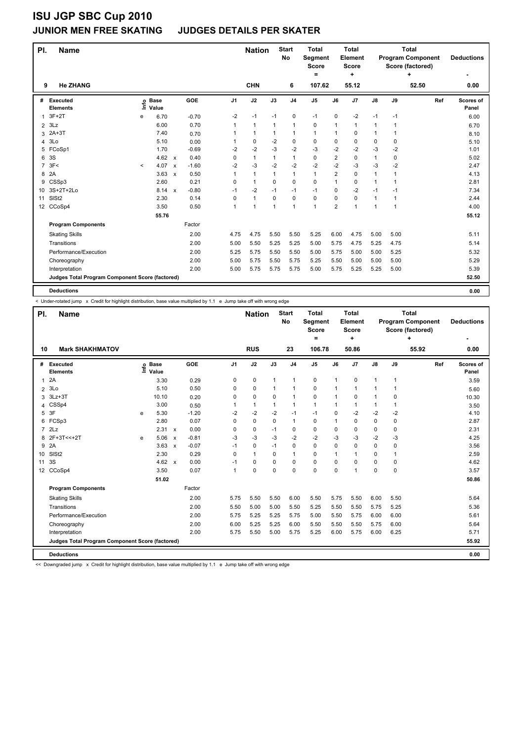#### **JUNIOR MEN FREE SKATING JUDGES DETAILS PER SKATER**

| PI.            | <b>Name</b>                                     |         |                      |                           |         |                | <b>Nation</b>  |              | <b>Start</b><br>No | <b>Total</b><br>Segment<br><b>Score</b><br>= |                | <b>Total</b><br>Element<br><b>Score</b><br>٠ |               |      | <b>Total</b><br><b>Program Component</b><br>Score (factored) | <b>Deductions</b>  |
|----------------|-------------------------------------------------|---------|----------------------|---------------------------|---------|----------------|----------------|--------------|--------------------|----------------------------------------------|----------------|----------------------------------------------|---------------|------|--------------------------------------------------------------|--------------------|
| 9              | <b>He ZHANG</b>                                 |         |                      |                           |         |                | <b>CHN</b>     |              | 6                  | 107.62                                       |                | 55.12                                        |               |      | 52.50                                                        | 0.00               |
| #              | Executed<br><b>Elements</b>                     | Linfo   | <b>Base</b><br>Value |                           | GOE     | J <sub>1</sub> | J2             | J3           | J <sub>4</sub>     | J <sub>5</sub>                               | J6             | J7                                           | $\mathsf{J}8$ | J9   | Ref                                                          | Scores of<br>Panel |
| 1              | $3F+2T$                                         | e       | 6.70                 |                           | $-0.70$ | $-2$           | $-1$           | $-1$         | $\mathbf 0$        | $-1$                                         | $\Omega$       | $-2$                                         | $-1$          | $-1$ |                                                              | 6.00               |
| $\overline{2}$ | 3Lz                                             |         | 6.00                 |                           | 0.70    | 1              | $\mathbf{1}$   | 1            | $\mathbf{1}$       | 0                                            | 1              | 1                                            | 1             | 1    |                                                              | 6.70               |
| 3              | $2A+3T$                                         |         | 7.40                 |                           | 0.70    | 1              | $\mathbf{1}$   | 1            | $\mathbf{1}$       | $\mathbf{1}$                                 | $\mathbf{1}$   | 0                                            | $\mathbf{1}$  | 1    |                                                              | 8.10               |
| 4              | 3Lo                                             |         | 5.10                 |                           | 0.00    | 1              | 0              | $-2$         | 0                  | $\mathbf 0$                                  | 0              | 0                                            | 0             | 0    |                                                              | 5.10               |
| 5              | FCoSp1                                          |         | 1.70                 |                           | $-0.69$ | $-2$           | $-2$           | $-3$         | $-2$               | $-3$                                         | $-2$           | $-2$                                         | $-3$          | $-2$ |                                                              | 1.01               |
| 6              | 3S                                              |         | 4.62                 | $\mathsf{x}$              | 0.40    | 0              | $\mathbf{1}$   | 1            | $\mathbf{1}$       | 0                                            | $\overline{2}$ | 0                                            | 1             | 0    |                                                              | 5.02               |
| $\overline{7}$ | 3F<                                             | $\prec$ | 4.07                 | $\boldsymbol{\mathsf{x}}$ | $-1.60$ | $-2$           | $-3$           | $-2$         | $-2$               | $-2$                                         | $-2$           | $-3$                                         | $-3$          | $-2$ |                                                              | 2.47               |
| 8              | 2A                                              |         | 3.63                 | $\boldsymbol{\mathsf{x}}$ | 0.50    | 1              | $\mathbf{1}$   | $\mathbf{1}$ | $\mathbf{1}$       | $\mathbf{1}$                                 | $\overline{2}$ | 0                                            | 1             | 1    |                                                              | 4.13               |
| 9              | CSSp3                                           |         | 2.60                 |                           | 0.21    | $\Omega$       | $\mathbf{1}$   | $\Omega$     | $\Omega$           | 0                                            | $\mathbf{1}$   | 0                                            | 1             | 1    |                                                              | 2.81               |
|                | 10 3S+2T+2Lo                                    |         | 8.14                 | $\mathsf{x}$              | $-0.80$ | $-1$           | $-2$           | $-1$         | $-1$               | $-1$                                         | $\Omega$       | $-2$                                         | $-1$          | $-1$ |                                                              | 7.34               |
| 11             | SIS <sub>t2</sub>                               |         | 2.30                 |                           | 0.14    | 0              | $\mathbf{1}$   | $\mathbf 0$  | $\mathbf 0$        | $\mathbf 0$                                  | 0              | 0                                            | 1             | 1    |                                                              | 2.44               |
|                | 12 CCoSp4                                       |         | 3.50                 |                           | 0.50    | 1              | $\overline{1}$ | 1            | 1                  | $\mathbf{1}$                                 | $\overline{2}$ | 1                                            | 1             | 1    |                                                              | 4.00               |
|                |                                                 |         | 55.76                |                           |         |                |                |              |                    |                                              |                |                                              |               |      |                                                              | 55.12              |
|                | <b>Program Components</b>                       |         |                      |                           | Factor  |                |                |              |                    |                                              |                |                                              |               |      |                                                              |                    |
|                | <b>Skating Skills</b>                           |         |                      |                           | 2.00    | 4.75           | 4.75           | 5.50         | 5.50               | 5.25                                         | 6.00           | 4.75                                         | 5.00          | 5.00 |                                                              | 5.11               |
|                | Transitions                                     |         |                      |                           | 2.00    | 5.00           | 5.50           | 5.25         | 5.25               | 5.00                                         | 5.75           | 4.75                                         | 5.25          | 4.75 |                                                              | 5.14               |
|                | Performance/Execution                           |         |                      |                           | 2.00    | 5.25           | 5.75           | 5.50         | 5.50               | 5.00                                         | 5.75           | 5.00                                         | 5.00          | 5.25 |                                                              | 5.32               |
|                | Choreography                                    |         |                      |                           | 2.00    | 5.00           | 5.75           | 5.50         | 5.75               | 5.25                                         | 5.50           | 5.00                                         | 5.00          | 5.00 |                                                              | 5.29               |
|                | Interpretation                                  |         |                      |                           | 2.00    | 5.00           | 5.75           | 5.75         | 5.75               | 5.00                                         | 5.75           | 5.25                                         | 5.25          | 5.00 |                                                              | 5.39               |
|                | Judges Total Program Component Score (factored) |         |                      |                           |         |                |                |              |                    |                                              |                |                                              |               |      |                                                              | 52.50              |
|                | <b>Deductions</b>                               |         |                      |                           |         |                |                |              |                    |                                              |                |                                              |               |      |                                                              | 0.00               |

< Under-rotated jump x Credit for highlight distribution, base value multiplied by 1.1 e Jump take off with wrong edge

| PI.            | <b>Name</b>                                     |   |                            |                           |         |                | <b>Nation</b> |              | <b>Start</b><br><b>No</b> | <b>Total</b><br><b>Segment</b><br><b>Score</b><br>= |      | <b>Total</b><br>Element<br><b>Score</b><br>÷ |               |              | <b>Total</b><br><b>Program Component</b><br>Score (factored)<br>÷ | <b>Deductions</b>  |
|----------------|-------------------------------------------------|---|----------------------------|---------------------------|---------|----------------|---------------|--------------|---------------------------|-----------------------------------------------------|------|----------------------------------------------|---------------|--------------|-------------------------------------------------------------------|--------------------|
| 10             | <b>Mark SHAKHMATOV</b>                          |   |                            |                           |         |                | <b>RUS</b>    |              | 23                        | 106.78                                              |      | 50.86                                        |               |              | 55.92                                                             | 0.00               |
| #              | Executed<br><b>Elements</b>                     |   | e Base<br>E Value<br>Value |                           | GOE     | J <sub>1</sub> | J2            | J3           | J <sub>4</sub>            | $\mathsf{J}5$                                       | J6   | J7                                           | $\mathsf{J}8$ | J9           | Ref                                                               | Scores of<br>Panel |
| 1              | 2A                                              |   | 3.30                       |                           | 0.29    | 0              | $\pmb{0}$     | $\mathbf{1}$ | $\mathbf{1}$              | 0                                                   | 1    | $\mathbf 0$                                  | $\mathbf{1}$  | $\mathbf{1}$ |                                                                   | 3.59               |
| $\overline{2}$ | 3Lo                                             |   | 5.10                       |                           | 0.50    | 0              | $\pmb{0}$     | 1            | $\mathbf{1}$              | 0                                                   | 1    | 1                                            | 1             | $\mathbf{1}$ |                                                                   | 5.60               |
| 3              | $3Lz + 3T$                                      |   | 10.10                      |                           | 0.20    | 0              | $\mathbf 0$   | 0            | $\mathbf{1}$              | 0                                                   | 1    | 0                                            | 1             | 0            |                                                                   | 10.30              |
| 4              | CSSp4                                           |   | 3.00                       |                           | 0.50    |                | $\mathbf{1}$  | $\mathbf{1}$ | $\mathbf{1}$              | $\mathbf{1}$                                        | 1    | 1                                            | 1             | 1            |                                                                   | 3.50               |
| 5              | 3F                                              | e | 5.30                       |                           | $-1.20$ | $-2$           | $-2$          | $-2$         | $-1$                      | $-1$                                                | 0    | $-2$                                         | $-2$          | $-2$         |                                                                   | 4.10               |
| 6              | FCSp3                                           |   | 2.80                       |                           | 0.07    | 0              | $\mathbf 0$   | $\Omega$     | $\mathbf{1}$              | $\mathbf 0$                                         | 1    | 0                                            | 0             | 0            |                                                                   | 2.87               |
| $\overline{7}$ | 2Lz                                             |   | 2.31                       | $\mathsf{x}$              | 0.00    | 0              | 0             | $-1$         | 0                         | 0                                                   | 0    | 0                                            | 0             | 0            |                                                                   | 2.31               |
| 8              | 2F+3T<<+2T                                      | e | 5.06                       | $\boldsymbol{\mathsf{x}}$ | $-0.81$ | $-3$           | $-3$          | $-3$         | $-2$                      | $-2$                                                | -3   | $-3$                                         | $-2$          | $-3$         |                                                                   | 4.25               |
| 9              | 2A                                              |   | 3.63                       | $\mathsf{x}$              | $-0.07$ | $-1$           | $\mathbf 0$   | $-1$         | 0                         | $\mathbf 0$                                         | 0    | 0                                            | 0             | 0            |                                                                   | 3.56               |
| 10             | SISt <sub>2</sub>                               |   | 2.30                       |                           | 0.29    | 0              | $\mathbf{1}$  | $\mathbf 0$  | $\mathbf{1}$              | 0                                                   | 1    | 1                                            | 0             | 1            |                                                                   | 2.59               |
| 11             | 3S                                              |   | 4.62                       | $\mathsf{x}$              | 0.00    | $-1$           | 0             | 0            | $\mathbf 0$               | $\mathbf 0$                                         | 0    | 0                                            | 0             | 0            |                                                                   | 4.62               |
|                | 12 CCoSp4                                       |   | 3.50                       |                           | 0.07    | 1              | $\mathbf 0$   | $\Omega$     | $\mathbf 0$               | 0                                                   | 0    | 1                                            | 0             | 0            |                                                                   | 3.57               |
|                |                                                 |   | 51.02                      |                           |         |                |               |              |                           |                                                     |      |                                              |               |              |                                                                   | 50.86              |
|                | <b>Program Components</b>                       |   |                            |                           | Factor  |                |               |              |                           |                                                     |      |                                              |               |              |                                                                   |                    |
|                | <b>Skating Skills</b>                           |   |                            |                           | 2.00    | 5.75           | 5.50          | 5.50         | 6.00                      | 5.50                                                | 5.75 | 5.50                                         | 6.00          | 5.50         |                                                                   | 5.64               |
|                | Transitions                                     |   |                            |                           | 2.00    | 5.50           | 5.00          | 5.00         | 5.50                      | 5.25                                                | 5.50 | 5.50                                         | 5.75          | 5.25         |                                                                   | 5.36               |
|                | Performance/Execution                           |   |                            |                           | 2.00    | 5.75           | 5.25          | 5.25         | 5.75                      | 5.00                                                | 5.50 | 5.75                                         | 6.00          | 6.00         |                                                                   | 5.61               |
|                | Choreography                                    |   |                            |                           | 2.00    | 6.00           | 5.25          | 5.25         | 6.00                      | 5.50                                                | 5.50 | 5.50                                         | 5.75          | 6.00         |                                                                   | 5.64               |
|                | Interpretation                                  |   |                            |                           | 2.00    | 5.75           | 5.50          | 5.00         | 5.75                      | 5.25                                                | 6.00 | 5.75                                         | 6.00          | 6.25         |                                                                   | 5.71               |
|                | Judges Total Program Component Score (factored) |   |                            |                           |         |                |               |              |                           |                                                     |      |                                              |               |              |                                                                   | 55.92              |
|                | <b>Deductions</b>                               |   |                            |                           |         |                |               |              |                           |                                                     |      |                                              |               |              |                                                                   | 0.00               |

<< Downgraded jump x Credit for highlight distribution, base value multiplied by 1.1 e Jump take off with wrong edge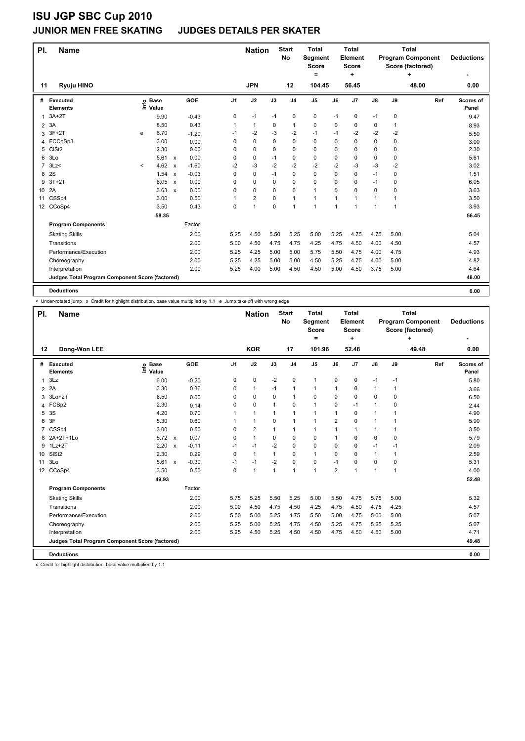#### **JUNIOR MEN FREE SKATING JUDGES DETAILS PER SKATER**

| PI.            | <b>Name</b>                                     |          |                      |              |         |                | <b>Nation</b>  |             | <b>Start</b><br><b>No</b> | <b>Total</b><br><b>Segment</b><br><b>Score</b><br>= |      | <b>Total</b><br>Element<br><b>Score</b><br>÷ |      |              | <b>Total</b><br><b>Program Component</b><br>Score (factored)<br>٠ | <b>Deductions</b>  |
|----------------|-------------------------------------------------|----------|----------------------|--------------|---------|----------------|----------------|-------------|---------------------------|-----------------------------------------------------|------|----------------------------------------------|------|--------------|-------------------------------------------------------------------|--------------------|
| 11             | <b>Ryuju HINO</b>                               |          |                      |              |         |                | <b>JPN</b>     |             | 12                        | 104.45                                              |      | 56.45                                        |      |              | 48.00                                                             | 0.00               |
| #              | Executed<br><b>Elements</b>                     | lnfo     | <b>Base</b><br>Value |              | GOE     | J <sub>1</sub> | J2             | J3          | J <sub>4</sub>            | J <sub>5</sub>                                      | J6   | J7                                           | J8   | J9           | Ref                                                               | Scores of<br>Panel |
| 1              | $3A+2T$                                         |          | 9.90                 |              | $-0.43$ | 0              | $-1$           | $-1$        | $\pmb{0}$                 | 0                                                   | $-1$ | $\mathbf 0$                                  | $-1$ | 0            |                                                                   | 9.47               |
| $\overline{2}$ | 3A                                              |          | 8.50                 |              | 0.43    | 1              | $\mathbf{1}$   | 0           | 1                         | $\mathbf 0$                                         | 0    | 0                                            | 0    | $\mathbf{1}$ |                                                                   | 8.93               |
| 3              | $3F+2T$                                         | e        | 6.70                 |              | $-1.20$ | $-1$           | $-2$           | -3          | -2                        | $-1$                                                | $-1$ | $-2$                                         | $-2$ | $-2$         |                                                                   | 5.50               |
| 4              | FCCoSp3                                         |          | 3.00                 |              | 0.00    | 0              | $\mathbf 0$    | 0           | 0                         | 0                                                   | 0    | 0                                            | 0    | 0            |                                                                   | 3.00               |
| 5              | CiSt <sub>2</sub>                               |          | 2.30                 |              | 0.00    | 0              | $\mathbf 0$    | $\Omega$    | $\mathbf 0$               | $\mathbf 0$                                         | 0    | 0                                            | 0    | 0            |                                                                   | 2.30               |
| 6              | 3Lo                                             |          | 5.61                 | $\mathsf{x}$ | 0.00    | 0              | $\pmb{0}$      | $-1$        | 0                         | 0                                                   | 0    | 0                                            | 0    | 0            |                                                                   | 5.61               |
| 7              | 3Lz                                             | $\hat{}$ | 4.62                 | $\mathsf{x}$ | $-1.60$ | $-2$           | $-3$           | $-2$        | $-2$                      | $-2$                                                | $-2$ | $-3$                                         | $-3$ | $-2$         |                                                                   | 3.02               |
| 8              | 2S                                              |          | 1.54                 | $\mathsf{x}$ | $-0.03$ | 0              | $\mathbf 0$    | $-1$        | 0                         | $\Omega$                                            | 0    | 0                                            | $-1$ | 0            |                                                                   | 1.51               |
| 9              | $3T+2T$                                         |          | 6.05                 | $\mathsf{x}$ | 0.00    | 0              | $\mathbf 0$    | 0           | 0                         | $\mathbf 0$                                         | 0    | 0                                            | $-1$ | 0            |                                                                   | 6.05               |
| 10             | 2A                                              |          | 3.63                 | $\mathsf{x}$ | 0.00    | 0              | $\mathbf 0$    | $\Omega$    | 0                         | $\mathbf{1}$                                        | 0    | 0                                            | 0    | 0            |                                                                   | 3.63               |
| 11             | CSSp4                                           |          | 3.00                 |              | 0.50    |                | $\overline{2}$ | 0           | $\mathbf{1}$              | $\mathbf{1}$                                        | 1    | 1                                            | 1    | 1            |                                                                   | 3.50               |
|                | 12 CCoSp4                                       |          | 3.50                 |              | 0.43    | 0              | 1              | $\mathbf 0$ | $\mathbf{1}$              | 1                                                   | 1    | 1                                            | 1    | 1            |                                                                   | 3.93               |
|                |                                                 |          | 58.35                |              |         |                |                |             |                           |                                                     |      |                                              |      |              |                                                                   | 56.45              |
|                | <b>Program Components</b>                       |          |                      |              | Factor  |                |                |             |                           |                                                     |      |                                              |      |              |                                                                   |                    |
|                | <b>Skating Skills</b>                           |          |                      |              | 2.00    | 5.25           | 4.50           | 5.50        | 5.25                      | 5.00                                                | 5.25 | 4.75                                         | 4.75 | 5.00         |                                                                   | 5.04               |
|                | Transitions                                     |          |                      |              | 2.00    | 5.00           | 4.50           | 4.75        | 4.75                      | 4.25                                                | 4.75 | 4.50                                         | 4.00 | 4.50         |                                                                   | 4.57               |
|                | Performance/Execution                           |          |                      |              | 2.00    | 5.25           | 4.25           | 5.00        | 5.00                      | 5.75                                                | 5.50 | 4.75                                         | 4.00 | 4.75         |                                                                   | 4.93               |
|                | Choreography                                    |          |                      |              | 2.00    | 5.25           | 4.25           | 5.00        | 5.00                      | 4.50                                                | 5.25 | 4.75                                         | 4.00 | 5.00         |                                                                   | 4.82               |
|                | Interpretation                                  |          |                      |              | 2.00    | 5.25           | 4.00           | 5.00        | 4.50                      | 4.50                                                | 5.00 | 4.50                                         | 3.75 | 5.00         |                                                                   | 4.64               |
|                | Judges Total Program Component Score (factored) |          |                      |              |         |                |                |             |                           |                                                     |      |                                              |      |              |                                                                   | 48.00              |
|                | <b>Deductions</b>                               |          |                      |              |         |                |                |             |                           |                                                     |      |                                              |      |              |                                                                   | 0.00               |

< Under-rotated jump x Credit for highlight distribution, base value multiplied by 1.1 e Jump take off with wrong edge

| PI.            | <b>Name</b>                                     |                            |                           |         |                | <b>Nation</b>  |              | <b>Start</b><br><b>No</b> | <b>Total</b><br>Segment<br><b>Score</b><br>Ξ. |                | <b>Total</b><br>Element<br>Score<br>÷ |               |              | <b>Total</b><br><b>Program Component</b><br>Score (factored)<br>÷ | <b>Deductions</b><br>۰ |
|----------------|-------------------------------------------------|----------------------------|---------------------------|---------|----------------|----------------|--------------|---------------------------|-----------------------------------------------|----------------|---------------------------------------|---------------|--------------|-------------------------------------------------------------------|------------------------|
| 12             | Dong-Won LEE                                    |                            |                           |         |                | <b>KOR</b>     |              | 17                        | 101.96                                        |                | 52.48                                 |               |              | 49.48                                                             | 0.00                   |
| #              | <b>Executed</b><br><b>Elements</b>              | e Base<br>E Value<br>Value |                           | GOE     | J <sub>1</sub> | J2             | J3           | J <sub>4</sub>            | J <sub>5</sub>                                | J6             | J7                                    | $\mathsf{J}8$ | J9           | Ref                                                               | Scores of<br>Panel     |
| 1              | 3Lz                                             | 6.00                       |                           | $-0.20$ | 0              | $\pmb{0}$      | $-2$         | $\pmb{0}$                 | $\mathbf{1}$                                  | 0              | $\pmb{0}$                             | $-1$          | -1           |                                                                   | 5.80                   |
| $\overline{2}$ | 2A                                              | 3.30                       |                           | 0.36    | 0              | $\mathbf{1}$   | $-1$         | 1                         | $\mathbf{1}$                                  | 1              | 0                                     | 1             | 1            |                                                                   | 3.66                   |
| 3              | $3Lo+2T$                                        | 6.50                       |                           | 0.00    | 0              | $\mathbf 0$    | $\Omega$     | $\mathbf{1}$              | $\mathbf 0$                                   | 0              | $\Omega$                              | $\Omega$      | 0            |                                                                   | 6.50                   |
| 4              | FCSp2                                           | 2.30                       |                           | 0.14    | 0              | 0              | 1            | 0                         | $\mathbf{1}$                                  | 0              | $-1$                                  | $\mathbf{1}$  | 0            |                                                                   | 2.44                   |
| 5              | 3S                                              | 4.20                       |                           | 0.70    |                | $\mathbf{1}$   | 1            | $\mathbf{1}$              | $\mathbf{1}$                                  | 1              | 0                                     | 1             | 1            |                                                                   | 4.90                   |
| 6              | 3F                                              | 5.30                       |                           | 0.60    |                | $\mathbf{1}$   | $\Omega$     | $\mathbf{1}$              | $\mathbf{1}$                                  | $\overline{2}$ | $\Omega$                              | $\mathbf{1}$  | 1            |                                                                   | 5.90                   |
| $\overline{7}$ | CSSp4                                           | 3.00                       |                           | 0.50    | 0              | $\overline{2}$ | $\mathbf{1}$ | $\mathbf{1}$              | $\mathbf{1}$                                  | 1              | 1                                     | $\mathbf{1}$  | 1            |                                                                   | 3.50                   |
| 8              | 2A+2T+1Lo                                       | 5.72                       | $\mathsf{x}$              | 0.07    | 0              | $\mathbf{1}$   | 0            | 0                         | 0                                             | 1              | 0                                     | 0             | 0            |                                                                   | 5.79                   |
| 9              | $1Lz+2T$                                        | 2.20                       | $\boldsymbol{\mathsf{x}}$ | $-0.11$ | $-1$           | $-1$           | $-2$         | $\mathbf 0$               | 0                                             | 0              | 0                                     | $-1$          | $-1$         |                                                                   | 2.09                   |
| 10             | SISt <sub>2</sub>                               | 2.30                       |                           | 0.29    | 0              | $\mathbf{1}$   | $\mathbf{1}$ | 0                         | $\mathbf{1}$                                  | 0              | 0                                     | $\mathbf{1}$  | $\mathbf{1}$ |                                                                   | 2.59                   |
| 11             | 3Lo                                             | $5.61 \times$              |                           | $-0.30$ | $-1$           | $-1$           | $-2$         | $\mathbf 0$               | $\mathbf 0$                                   | $-1$           | $\Omega$                              | 0             | 0            |                                                                   | 5.31                   |
|                | 12 CCoSp4                                       | 3.50                       |                           | 0.50    | 0              | $\mathbf{1}$   | $\mathbf{1}$ | $\mathbf{1}$              | $\mathbf{1}$                                  | $\overline{2}$ | 1                                     | 1             | 1            |                                                                   | 4.00                   |
|                |                                                 | 49.93                      |                           |         |                |                |              |                           |                                               |                |                                       |               |              |                                                                   | 52.48                  |
|                | <b>Program Components</b>                       |                            |                           | Factor  |                |                |              |                           |                                               |                |                                       |               |              |                                                                   |                        |
|                | <b>Skating Skills</b>                           |                            |                           | 2.00    | 5.75           | 5.25           | 5.50         | 5.25                      | 5.00                                          | 5.50           | 4.75                                  | 5.75          | 5.00         |                                                                   | 5.32                   |
|                | Transitions                                     |                            |                           | 2.00    | 5.00           | 4.50           | 4.75         | 4.50                      | 4.25                                          | 4.75           | 4.50                                  | 4.75          | 4.25         |                                                                   | 4.57                   |
|                | Performance/Execution                           |                            |                           | 2.00    | 5.50           | 5.00           | 5.25         | 4.75                      | 5.50                                          | 5.00           | 4.75                                  | 5.00          | 5.00         |                                                                   | 5.07                   |
|                | Choreography                                    |                            |                           | 2.00    | 5.25           | 5.00           | 5.25         | 4.75                      | 4.50                                          | 5.25           | 4.75                                  | 5.25          | 5.25         |                                                                   | 5.07                   |
|                | Interpretation                                  |                            |                           | 2.00    | 5.25           | 4.50           | 5.25         | 4.50                      | 4.50                                          | 4.75           | 4.50                                  | 4.50          | 5.00         |                                                                   | 4.71                   |
|                | Judges Total Program Component Score (factored) |                            |                           |         |                |                |              |                           |                                               |                |                                       |               |              |                                                                   | 49.48                  |
|                | <b>Deductions</b>                               |                            |                           |         |                |                |              |                           |                                               |                |                                       |               |              |                                                                   | 0.00                   |

x Credit for highlight distribution, base value multiplied by 1.1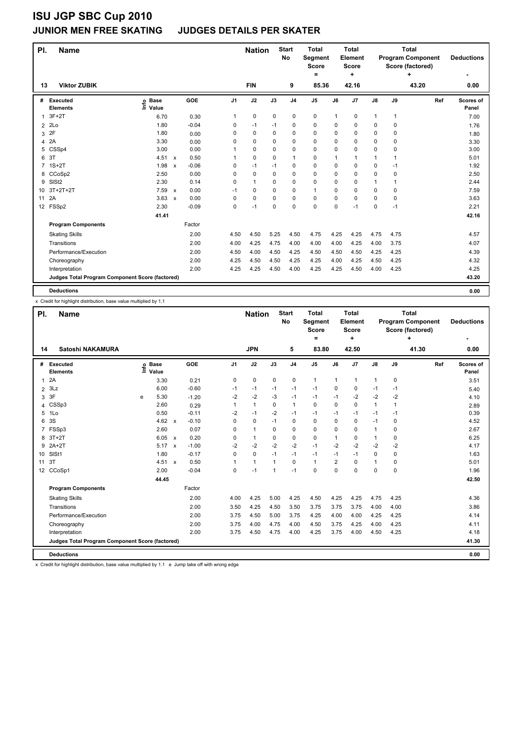#### **JUNIOR MEN FREE SKATING JUDGES DETAILS PER SKATER**

| <b>Viktor ZUBIK</b><br><b>FIN</b><br>9<br>43.20<br>85.36<br>42.16<br>13<br>GOE<br>J2<br>J <sub>1</sub><br>J3<br>J <sub>5</sub><br>J7<br>$\mathsf{J}8$<br>J9<br>Executed<br><b>Base</b><br>J <sub>4</sub><br>J6<br>Ref<br>#<br>١nfo<br>Value<br><b>Elements</b><br>$\mathbf 0$<br>$3F+2T$<br>0<br>0<br>0<br>0<br>1<br>1<br>1<br>1<br>6.70<br>0.30<br>1<br>2Lo<br>$-0.04$<br>1.80<br>0<br>0<br>0<br>0<br>0<br>0<br>$-1$<br>$-1$<br>0<br>$\overline{2}$<br>2F<br>1.80<br>0<br>0<br>0<br>$\Omega$<br>0<br>0<br>0<br>0.00<br>0<br>0<br>3<br>2A<br>$\mathbf 0$<br>3.30<br>0<br>0<br>0<br>0<br>0<br>0<br>0.00<br>0<br>0<br>4<br>0<br>CSSp4<br>3.00<br>0.00<br>0<br>0<br>0<br>0<br>0<br>0<br>0<br>5<br>1<br>3T<br>0.50<br>4.51<br>$\mathbf 0$<br>$\mathbf 0$<br>6<br>0<br>$\mathbf{1}$<br>1<br>1<br>$\mathsf{x}$<br>1<br>1<br>1<br>$-0.06$<br>0<br>0<br>$1S+2T$<br>1.98<br>$-1$<br>0<br>0<br>0<br>$-1$<br>7<br>0<br>$-1$<br>$\boldsymbol{\mathsf{x}}$<br>0.00<br>8 CCoSp2<br>2.50<br>$\mathbf 0$<br>$\mathbf 0$<br>$\mathbf 0$<br>0<br>0<br>0<br>0<br>0<br>0<br>SISt <sub>2</sub><br>2.30<br>$\mathbf{1}$<br>0<br>9<br>0.14<br>$\Omega$<br>$\Omega$<br>0<br>$\Omega$<br>0<br>$\mathbf 1$<br>1<br>$3T+2T+2T$<br>0.00<br>$\mathbf 0$<br>7.59<br>0<br>0<br>$\mathbf{1}$<br>0<br>0<br>0<br>0<br>10<br>$-1$<br>$\boldsymbol{\mathsf{x}}$<br>2A<br>0.00<br>$\mathbf 0$<br>$\mathbf 0$<br>0<br>3.63<br>0<br>0<br>$\Omega$<br>0<br>$\Omega$<br>0<br>11<br>$\boldsymbol{\mathsf{x}}$<br>$\mathbf 0$<br>0<br>$\Omega$<br>12 FSSp2<br>2.30<br>$-0.09$<br>0<br>$-1$<br>0<br>0<br>$-1$<br>$-1$<br>41.41<br><b>Program Components</b><br>Factor<br>2.00<br>4.50<br>5.25<br>4.50<br>4.75<br>4.25<br>4.25<br>4.75<br><b>Skating Skills</b><br>4.50<br>4.75<br>2.00<br>4.00<br>4.25<br>4.75<br>4.00<br>4.00<br>4.00<br>4.25<br>4.00<br>3.75<br>Transitions | PI. | Name                  |  |      |      | <b>Nation</b> |      | <b>Start</b><br>No | <b>Total</b><br>Segment<br><b>Score</b><br>$\equiv$ |      | <b>Total</b><br>Element<br>Score<br>٠ |      |      | <b>Total</b><br><b>Program Component</b><br>Score (factored)<br>٠ | <b>Deductions</b>  |
|-----------------------------------------------------------------------------------------------------------------------------------------------------------------------------------------------------------------------------------------------------------------------------------------------------------------------------------------------------------------------------------------------------------------------------------------------------------------------------------------------------------------------------------------------------------------------------------------------------------------------------------------------------------------------------------------------------------------------------------------------------------------------------------------------------------------------------------------------------------------------------------------------------------------------------------------------------------------------------------------------------------------------------------------------------------------------------------------------------------------------------------------------------------------------------------------------------------------------------------------------------------------------------------------------------------------------------------------------------------------------------------------------------------------------------------------------------------------------------------------------------------------------------------------------------------------------------------------------------------------------------------------------------------------------------------------------------------------------------------------------------------------------------------------------------------------------------------|-----|-----------------------|--|------|------|---------------|------|--------------------|-----------------------------------------------------|------|---------------------------------------|------|------|-------------------------------------------------------------------|--------------------|
|                                                                                                                                                                                                                                                                                                                                                                                                                                                                                                                                                                                                                                                                                                                                                                                                                                                                                                                                                                                                                                                                                                                                                                                                                                                                                                                                                                                                                                                                                                                                                                                                                                                                                                                                                                                                                                   |     |                       |  |      |      |               |      |                    |                                                     |      |                                       |      |      |                                                                   | 0.00               |
|                                                                                                                                                                                                                                                                                                                                                                                                                                                                                                                                                                                                                                                                                                                                                                                                                                                                                                                                                                                                                                                                                                                                                                                                                                                                                                                                                                                                                                                                                                                                                                                                                                                                                                                                                                                                                                   |     |                       |  |      |      |               |      |                    |                                                     |      |                                       |      |      |                                                                   | Scores of<br>Panel |
|                                                                                                                                                                                                                                                                                                                                                                                                                                                                                                                                                                                                                                                                                                                                                                                                                                                                                                                                                                                                                                                                                                                                                                                                                                                                                                                                                                                                                                                                                                                                                                                                                                                                                                                                                                                                                                   |     |                       |  |      |      |               |      |                    |                                                     |      |                                       |      |      |                                                                   | 7.00               |
|                                                                                                                                                                                                                                                                                                                                                                                                                                                                                                                                                                                                                                                                                                                                                                                                                                                                                                                                                                                                                                                                                                                                                                                                                                                                                                                                                                                                                                                                                                                                                                                                                                                                                                                                                                                                                                   |     |                       |  |      |      |               |      |                    |                                                     |      |                                       |      |      |                                                                   | 1.76               |
|                                                                                                                                                                                                                                                                                                                                                                                                                                                                                                                                                                                                                                                                                                                                                                                                                                                                                                                                                                                                                                                                                                                                                                                                                                                                                                                                                                                                                                                                                                                                                                                                                                                                                                                                                                                                                                   |     |                       |  |      |      |               |      |                    |                                                     |      |                                       |      |      |                                                                   | 1.80               |
|                                                                                                                                                                                                                                                                                                                                                                                                                                                                                                                                                                                                                                                                                                                                                                                                                                                                                                                                                                                                                                                                                                                                                                                                                                                                                                                                                                                                                                                                                                                                                                                                                                                                                                                                                                                                                                   |     |                       |  |      |      |               |      |                    |                                                     |      |                                       |      |      |                                                                   | 3.30               |
|                                                                                                                                                                                                                                                                                                                                                                                                                                                                                                                                                                                                                                                                                                                                                                                                                                                                                                                                                                                                                                                                                                                                                                                                                                                                                                                                                                                                                                                                                                                                                                                                                                                                                                                                                                                                                                   |     |                       |  |      |      |               |      |                    |                                                     |      |                                       |      |      |                                                                   | 3.00               |
|                                                                                                                                                                                                                                                                                                                                                                                                                                                                                                                                                                                                                                                                                                                                                                                                                                                                                                                                                                                                                                                                                                                                                                                                                                                                                                                                                                                                                                                                                                                                                                                                                                                                                                                                                                                                                                   |     |                       |  |      |      |               |      |                    |                                                     |      |                                       |      |      |                                                                   | 5.01               |
|                                                                                                                                                                                                                                                                                                                                                                                                                                                                                                                                                                                                                                                                                                                                                                                                                                                                                                                                                                                                                                                                                                                                                                                                                                                                                                                                                                                                                                                                                                                                                                                                                                                                                                                                                                                                                                   |     |                       |  |      |      |               |      |                    |                                                     |      |                                       |      |      |                                                                   | 1.92               |
|                                                                                                                                                                                                                                                                                                                                                                                                                                                                                                                                                                                                                                                                                                                                                                                                                                                                                                                                                                                                                                                                                                                                                                                                                                                                                                                                                                                                                                                                                                                                                                                                                                                                                                                                                                                                                                   |     |                       |  |      |      |               |      |                    |                                                     |      |                                       |      |      |                                                                   | 2.50               |
|                                                                                                                                                                                                                                                                                                                                                                                                                                                                                                                                                                                                                                                                                                                                                                                                                                                                                                                                                                                                                                                                                                                                                                                                                                                                                                                                                                                                                                                                                                                                                                                                                                                                                                                                                                                                                                   |     |                       |  |      |      |               |      |                    |                                                     |      |                                       |      |      |                                                                   | 2.44               |
|                                                                                                                                                                                                                                                                                                                                                                                                                                                                                                                                                                                                                                                                                                                                                                                                                                                                                                                                                                                                                                                                                                                                                                                                                                                                                                                                                                                                                                                                                                                                                                                                                                                                                                                                                                                                                                   |     |                       |  |      |      |               |      |                    |                                                     |      |                                       |      |      |                                                                   | 7.59               |
|                                                                                                                                                                                                                                                                                                                                                                                                                                                                                                                                                                                                                                                                                                                                                                                                                                                                                                                                                                                                                                                                                                                                                                                                                                                                                                                                                                                                                                                                                                                                                                                                                                                                                                                                                                                                                                   |     |                       |  |      |      |               |      |                    |                                                     |      |                                       |      |      |                                                                   | 3.63               |
|                                                                                                                                                                                                                                                                                                                                                                                                                                                                                                                                                                                                                                                                                                                                                                                                                                                                                                                                                                                                                                                                                                                                                                                                                                                                                                                                                                                                                                                                                                                                                                                                                                                                                                                                                                                                                                   |     |                       |  |      |      |               |      |                    |                                                     |      |                                       |      |      |                                                                   | 2.21               |
|                                                                                                                                                                                                                                                                                                                                                                                                                                                                                                                                                                                                                                                                                                                                                                                                                                                                                                                                                                                                                                                                                                                                                                                                                                                                                                                                                                                                                                                                                                                                                                                                                                                                                                                                                                                                                                   |     |                       |  |      |      |               |      |                    |                                                     |      |                                       |      |      |                                                                   | 42.16              |
|                                                                                                                                                                                                                                                                                                                                                                                                                                                                                                                                                                                                                                                                                                                                                                                                                                                                                                                                                                                                                                                                                                                                                                                                                                                                                                                                                                                                                                                                                                                                                                                                                                                                                                                                                                                                                                   |     |                       |  |      |      |               |      |                    |                                                     |      |                                       |      |      |                                                                   |                    |
|                                                                                                                                                                                                                                                                                                                                                                                                                                                                                                                                                                                                                                                                                                                                                                                                                                                                                                                                                                                                                                                                                                                                                                                                                                                                                                                                                                                                                                                                                                                                                                                                                                                                                                                                                                                                                                   |     |                       |  |      |      |               |      |                    |                                                     |      |                                       |      |      |                                                                   | 4.57               |
|                                                                                                                                                                                                                                                                                                                                                                                                                                                                                                                                                                                                                                                                                                                                                                                                                                                                                                                                                                                                                                                                                                                                                                                                                                                                                                                                                                                                                                                                                                                                                                                                                                                                                                                                                                                                                                   |     |                       |  |      |      |               |      |                    |                                                     |      |                                       |      |      |                                                                   | 4.07               |
|                                                                                                                                                                                                                                                                                                                                                                                                                                                                                                                                                                                                                                                                                                                                                                                                                                                                                                                                                                                                                                                                                                                                                                                                                                                                                                                                                                                                                                                                                                                                                                                                                                                                                                                                                                                                                                   |     | Performance/Execution |  | 2.00 | 4.50 | 4.00          | 4.50 | 4.25               | 4.50                                                | 4.50 | 4.50                                  | 4.25 | 4.25 |                                                                   | 4.39               |
| 2.00<br>4.25<br>4.50<br>4.50<br>4.25<br>4.25<br>4.50<br>4.25<br>4.00<br>4.25<br>Choreography                                                                                                                                                                                                                                                                                                                                                                                                                                                                                                                                                                                                                                                                                                                                                                                                                                                                                                                                                                                                                                                                                                                                                                                                                                                                                                                                                                                                                                                                                                                                                                                                                                                                                                                                      |     |                       |  |      |      |               |      |                    |                                                     |      |                                       |      |      |                                                                   | 4.32               |
| 2.00<br>4.25<br>4.25<br>4.50<br>4.00<br>4.25<br>4.25<br>4.50<br>4.00<br>4.25<br>Interpretation                                                                                                                                                                                                                                                                                                                                                                                                                                                                                                                                                                                                                                                                                                                                                                                                                                                                                                                                                                                                                                                                                                                                                                                                                                                                                                                                                                                                                                                                                                                                                                                                                                                                                                                                    |     |                       |  |      |      |               |      |                    |                                                     |      |                                       |      |      |                                                                   | 4.25               |
| Judges Total Program Component Score (factored)                                                                                                                                                                                                                                                                                                                                                                                                                                                                                                                                                                                                                                                                                                                                                                                                                                                                                                                                                                                                                                                                                                                                                                                                                                                                                                                                                                                                                                                                                                                                                                                                                                                                                                                                                                                   |     |                       |  |      |      |               |      |                    |                                                     |      |                                       |      |      |                                                                   | 43.20              |
| <b>Deductions</b>                                                                                                                                                                                                                                                                                                                                                                                                                                                                                                                                                                                                                                                                                                                                                                                                                                                                                                                                                                                                                                                                                                                                                                                                                                                                                                                                                                                                                                                                                                                                                                                                                                                                                                                                                                                                                 |     |                       |  |      |      |               |      |                    |                                                     |      |                                       |      |      |                                                                   | 0.00               |

x Credit for highlight distribution, base value multiplied by 1.1

| PI.             | <b>Name</b>                                     |      |                      |              |            |                | <b>Nation</b> |                | <b>Start</b><br>No | <b>Total</b><br>Segment<br><b>Score</b><br>$=$ |                | <b>Total</b><br>Element<br><b>Score</b><br>÷ |              |              | <b>Total</b><br><b>Program Component</b><br>Score (factored)<br>٠ | <b>Deductions</b>  |
|-----------------|-------------------------------------------------|------|----------------------|--------------|------------|----------------|---------------|----------------|--------------------|------------------------------------------------|----------------|----------------------------------------------|--------------|--------------|-------------------------------------------------------------------|--------------------|
| 14              | Satoshi NAKAMURA                                |      |                      |              |            |                | <b>JPN</b>    |                | 5                  | 83.80                                          |                | 42.50                                        |              |              | 41.30                                                             | 0.00               |
| #               | Executed<br><b>Elements</b>                     | lnfo | <b>Base</b><br>Value |              | <b>GOE</b> | J <sub>1</sub> | J2            | J3             | J <sub>4</sub>     | J <sub>5</sub>                                 | J6             | J <sub>7</sub>                               | J8           | J9           | Ref                                                               | Scores of<br>Panel |
| $\mathbf{1}$    | 2A                                              |      | 3.30                 |              | 0.21       | 0              | 0             | $\mathbf 0$    | $\mathbf 0$        | $\mathbf{1}$                                   | 1              | $\mathbf{1}$                                 | $\mathbf{1}$ | $\mathbf 0$  |                                                                   | 3.51               |
| $\overline{2}$  | 3Lz                                             |      | 6.00                 |              | $-0.60$    | $-1$           | $-1$          | $-1$           | $-1$               | $-1$                                           | $\Omega$       | 0                                            | $-1$         | -1           |                                                                   | 5.40               |
| 3               | 3F                                              | e    | 5.30                 |              | $-1.20$    | $-2$           | $-2$          | $-3$           | $-1$               | $-1$                                           | $-1$           | $-2$                                         | $-2$         | $-2$         |                                                                   | 4.10               |
| 4               | CSSp3                                           |      | 2.60                 |              | 0.29       | 1              | $\mathbf{1}$  | 0              | $\mathbf{1}$       | $\Omega$                                       | 0              | 0                                            | $\mathbf{1}$ | $\mathbf{1}$ |                                                                   | 2.89               |
| 5               | 1Lo                                             |      | 0.50                 |              | $-0.11$    | $-2$           | $-1$          | $-2$           | $-1$               | $-1$                                           | $-1$           | $-1$                                         | $-1$         | -1           |                                                                   | 0.39               |
| 6               | 3S                                              |      | 4.62                 | $\mathsf{x}$ | $-0.10$    | 0              | 0             | $-1$           | $\mathbf 0$        | 0                                              | 0              | 0                                            | $-1$         | 0            |                                                                   | 4.52               |
| 7               | FSSp3                                           |      | 2.60                 |              | 0.07       | 0              | $\mathbf{1}$  | 0              | $\mathbf 0$        | 0                                              | 0              | $\Omega$                                     | 1            | $\Omega$     |                                                                   | 2.67               |
| 8               | $3T+2T$                                         |      | 6.05                 | $\mathsf{x}$ | 0.20       | 0              | $\mathbf{1}$  | 0              | 0                  | 0                                              | 1              | 0                                            | 1            | 0            |                                                                   | 6.25               |
| 9               | $2A+2T$                                         |      | 5.17                 | $\mathbf{x}$ | $-1.00$    | $-2$           | $-2$          | $-2$           | $-2$               | $-1$                                           | $-2$           | $-2$                                         | $-2$         | $-2$         |                                                                   | 4.17               |
| 10              | SIS <sub>t1</sub>                               |      | 1.80                 |              | $-0.17$    | $\Omega$       | 0             | $-1$           | $-1$               | $-1$                                           | $-1$           | $-1$                                         | 0            | $\Omega$     |                                                                   | 1.63               |
| 11              | 3T                                              |      | 4.51                 | $\mathsf{x}$ | 0.50       | 1              | $\mathbf{1}$  | $\mathbf{1}$   | $\mathbf 0$        | $\mathbf{1}$                                   | $\overline{2}$ | 0                                            | $\mathbf{1}$ | 0            |                                                                   | 5.01               |
| 12 <sup>2</sup> | CCoSp1                                          |      | 2.00                 |              | $-0.04$    | $\Omega$       | $-1$          | $\overline{1}$ | $-1$               | $\Omega$                                       | 0              | $\Omega$                                     | 0            | $\Omega$     |                                                                   | 1.96               |
|                 |                                                 |      | 44.45                |              |            |                |               |                |                    |                                                |                |                                              |              |              |                                                                   | 42.50              |
|                 | <b>Program Components</b>                       |      |                      |              | Factor     |                |               |                |                    |                                                |                |                                              |              |              |                                                                   |                    |
|                 | <b>Skating Skills</b>                           |      |                      |              | 2.00       | 4.00           | 4.25          | 5.00           | 4.25               | 4.50                                           | 4.25           | 4.25                                         | 4.75         | 4.25         |                                                                   | 4.36               |
|                 | Transitions                                     |      |                      |              | 2.00       | 3.50           | 4.25          | 4.50           | 3.50               | 3.75                                           | 3.75           | 3.75                                         | 4.00         | 4.00         |                                                                   | 3.86               |
|                 | Performance/Execution                           |      |                      |              | 2.00       | 3.75           | 4.50          | 5.00           | 3.75               | 4.25                                           | 4.00           | 4.00                                         | 4.25         | 4.25         |                                                                   | 4.14               |
|                 | Choreography                                    |      |                      |              | 2.00       | 3.75           | 4.00          | 4.75           | 4.00               | 4.50                                           | 3.75           | 4.25                                         | 4.00         | 4.25         |                                                                   | 4.11               |
|                 | Interpretation                                  |      |                      |              | 2.00       | 3.75           | 4.50          | 4.75           | 4.00               | 4.25                                           | 3.75           | 4.00                                         | 4.50         | 4.25         |                                                                   | 4.18               |
|                 | Judges Total Program Component Score (factored) |      |                      |              |            |                |               |                |                    |                                                |                |                                              |              |              |                                                                   | 41.30              |
|                 | <b>Deductions</b>                               |      |                      |              |            |                |               |                |                    |                                                |                |                                              |              |              |                                                                   | 0.00               |

x Credit for highlight distribution, base value multiplied by 1.1 e Jump take off with wrong edge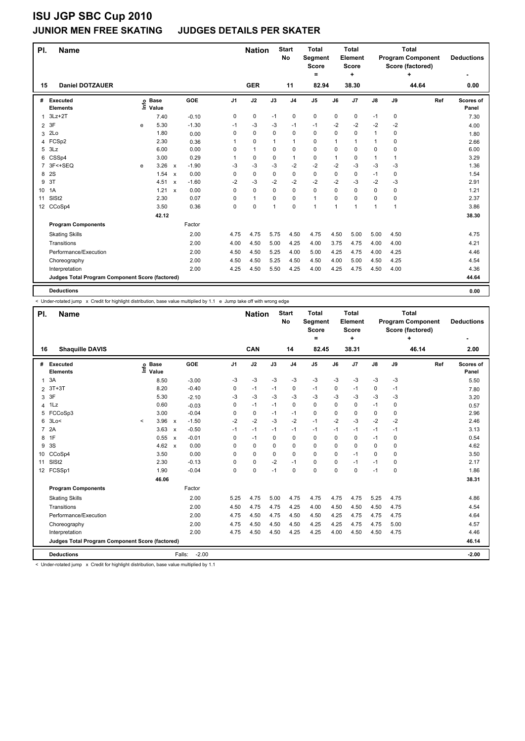#### **JUNIOR MEN FREE SKATING JUDGES DETAILS PER SKATER**

| PI.            | <b>Name</b>                                     |      |                      |                           |         |                | <b>Nation</b> |              | <b>Start</b><br><b>No</b> | <b>Total</b><br>Segment<br>Score<br>= |      | <b>Total</b><br>Element<br>Score<br>٠ |               |              | <b>Total</b><br><b>Program Component</b><br>Score (factored) | <b>Deductions</b>  |
|----------------|-------------------------------------------------|------|----------------------|---------------------------|---------|----------------|---------------|--------------|---------------------------|---------------------------------------|------|---------------------------------------|---------------|--------------|--------------------------------------------------------------|--------------------|
| 15             | <b>Daniel DOTZAUER</b>                          |      |                      |                           |         |                | <b>GER</b>    |              | 11                        | 82.94                                 |      | 38.30                                 |               |              | 44.64                                                        | 0.00               |
| #              | Executed<br><b>Elements</b>                     | Info | <b>Base</b><br>Value |                           | GOE     | J <sub>1</sub> | J2            | J3           | J <sub>4</sub>            | J <sub>5</sub>                        | J6   | J7                                    | $\mathsf{J}8$ | J9           | Ref                                                          | Scores of<br>Panel |
| $\mathbf{1}$   | $3Lz + 2T$                                      |      | 7.40                 |                           | $-0.10$ | 0              | $\pmb{0}$     | $-1$         | $\pmb{0}$                 | $\pmb{0}$                             | 0    | 0                                     | $-1$          | 0            |                                                              | 7.30               |
| $\overline{2}$ | 3F                                              | e    | 5.30                 |                           | $-1.30$ | $-1$           | -3            | -3           | -1                        | $-1$                                  | $-2$ | $-2$                                  | -2            | $-2$         |                                                              | 4.00               |
| 3              | 2 <sub>LO</sub>                                 |      | 1.80                 |                           | 0.00    | 0              | $\mathbf 0$   | $\Omega$     | $\mathbf 0$               | $\mathbf 0$                           | 0    | 0                                     | $\mathbf{1}$  | 0            |                                                              | 1.80               |
| 4              | FCSp2                                           |      | 2.30                 |                           | 0.36    |                | $\mathbf 0$   | 1            | $\mathbf{1}$              | $\mathbf 0$                           | 1    | 1                                     | 1             | 0            |                                                              | 2.66               |
| 5              | 3Lz                                             |      | 6.00                 |                           | 0.00    | 0              | $\mathbf{1}$  | $\Omega$     | $\mathbf 0$               | 0                                     | 0    | 0                                     | 0             | 0            |                                                              | 6.00               |
| 6              | CSSp4                                           |      | 3.00                 |                           | 0.29    |                | 0             | $\Omega$     | $\mathbf{1}$              | 0                                     | 1    | 0                                     | 1             | $\mathbf{1}$ |                                                              | 3.29               |
| $\overline{7}$ | 3F<+SEQ                                         | e    | 3.26                 | $\mathsf{x}$              | $-1.90$ | -3             | -3            | -3           | -2                        | $-2$                                  | -2   | $-3$                                  | -3            | -3           |                                                              | 1.36               |
| 8              | 2S                                              |      | 1.54                 | $\mathsf{x}$              | 0.00    | 0              | $\mathbf 0$   | 0            | $\mathbf 0$               | 0                                     | 0    | 0                                     | $-1$          | 0            |                                                              | 1.54               |
| 9              | 3T                                              |      | 4.51                 | $\boldsymbol{\mathsf{x}}$ | $-1.60$ | $-2$           | $-3$          | $-2$         | $-2$                      | $-2$                                  | $-2$ | $-3$                                  | -2            | $-3$         |                                                              | 2.91               |
| 10             | 1A                                              |      | 1.21                 | $\boldsymbol{\mathsf{x}}$ | 0.00    | 0              | $\mathbf 0$   | $\mathbf 0$  | $\mathbf 0$               | $\mathbf 0$                           | 0    | 0                                     | 0             | 0            |                                                              | 1.21               |
| 11             | SISt <sub>2</sub>                               |      | 2.30                 |                           | 0.07    | 0              | $\mathbf{1}$  | $\Omega$     | $\mathbf 0$               | $\mathbf{1}$                          | 0    | $\Omega$                              | 0             | 0            |                                                              | 2.37               |
|                | 12 CCoSp4                                       |      | 3.50                 |                           | 0.36    | 0              | $\mathbf 0$   | $\mathbf{1}$ | 0                         | 1                                     | 1    | 1                                     | 1             | 1            |                                                              | 3.86               |
|                |                                                 |      | 42.12                |                           |         |                |               |              |                           |                                       |      |                                       |               |              |                                                              | 38.30              |
|                | <b>Program Components</b>                       |      |                      |                           | Factor  |                |               |              |                           |                                       |      |                                       |               |              |                                                              |                    |
|                | <b>Skating Skills</b>                           |      |                      |                           | 2.00    | 4.75           | 4.75          | 5.75         | 4.50                      | 4.75                                  | 4.50 | 5.00                                  | 5.00          | 4.50         |                                                              | 4.75               |
|                | Transitions                                     |      |                      |                           | 2.00    | 4.00           | 4.50          | 5.00         | 4.25                      | 4.00                                  | 3.75 | 4.75                                  | 4.00          | 4.00         |                                                              | 4.21               |
|                | Performance/Execution                           |      |                      |                           | 2.00    | 4.50           | 4.50          | 5.25         | 4.00                      | 5.00                                  | 4.25 | 4.75                                  | 4.00          | 4.25         |                                                              | 4.46               |
|                | Choreography                                    |      |                      |                           | 2.00    | 4.50           | 4.50          | 5.25         | 4.50                      | 4.50                                  | 4.00 | 5.00                                  | 4.50          | 4.25         |                                                              | 4.54               |
|                | Interpretation                                  |      |                      |                           | 2.00    | 4.25           | 4.50          | 5.50         | 4.25                      | 4.00                                  | 4.25 | 4.75                                  | 4.50          | 4.00         |                                                              | 4.36               |
|                | Judges Total Program Component Score (factored) |      |                      |                           |         |                |               |              |                           |                                       |      |                                       |               |              |                                                              | 44.64              |
|                |                                                 |      |                      |                           |         |                |               |              |                           |                                       |      |                                       |               |              |                                                              |                    |
|                | <b>Deductions</b>                               |      |                      |                           |         |                |               |              |                           |                                       |      |                                       |               |              |                                                              | 0.00               |

< Under-rotated jump x Credit for highlight distribution, base value multiplied by 1.1 e Jump take off with wrong edge

| PI.            | <b>Name</b>                                     |         |                      |                           |                   |                | <b>Nation</b> |             | <b>Start</b><br>No | <b>Total</b><br>Segment<br><b>Score</b><br>= |          | <b>Total</b><br>Element<br><b>Score</b><br>÷ |               |          | <b>Total</b><br><b>Program Component</b><br>Score (factored)<br>٠ | <b>Deductions</b>         |
|----------------|-------------------------------------------------|---------|----------------------|---------------------------|-------------------|----------------|---------------|-------------|--------------------|----------------------------------------------|----------|----------------------------------------------|---------------|----------|-------------------------------------------------------------------|---------------------------|
| 16             | <b>Shaquille DAVIS</b>                          |         |                      |                           |                   |                | CAN           |             | 14                 | 82.45                                        |          | 38.31                                        |               |          | 46.14                                                             | 2.00                      |
| #              | Executed<br><b>Elements</b>                     | lnfo    | <b>Base</b><br>Value |                           | GOE               | J <sub>1</sub> | J2            | J3          | J <sub>4</sub>     | J <sub>5</sub>                               | J6       | J <sub>7</sub>                               | $\mathsf{J}8$ | J9       | Ref                                                               | <b>Scores of</b><br>Panel |
| 1              | 3A                                              |         | 8.50                 |                           | $-3.00$           | -3             | -3            | -3          | $-3$               | $-3$                                         | $-3$     | $-3$                                         | $-3$          | -3       |                                                                   | 5.50                      |
| $\overline{2}$ | $3T+3T$                                         |         | 8.20                 |                           | $-0.40$           | 0              | $-1$          | $-1$        | 0                  | $-1$                                         | 0        | $-1$                                         | 0             | $-1$     |                                                                   | 7.80                      |
| 3              | 3F                                              |         | 5.30                 |                           | $-2.10$           | -3             | $-3$          | -3          | $-3$               | $-3$                                         | $-3$     | $-3$                                         | $-3$          | -3       |                                                                   | 3.20                      |
| 4              | 1Lz                                             |         | 0.60                 |                           | $-0.03$           | 0              | $-1$          | $-1$        | 0                  | 0                                            | $\Omega$ | $\Omega$                                     | $-1$          | 0        |                                                                   | 0.57                      |
| 5              | FCCoSp3                                         |         | 3.00                 |                           | $-0.04$           | 0              | $\pmb{0}$     | $-1$        | $-1$               | 0                                            | 0        | 0                                            | 0             | 0        |                                                                   | 2.96                      |
| 6              | 3Lo<                                            | $\prec$ | 3.96                 | $\mathsf{x}$              | $-1.50$           | $-2$           | $-2$          | $-3$        | $-2$               | $-1$                                         | $-2$     | $-3$                                         | $-2$          | $-2$     |                                                                   | 2.46                      |
| $\overline{7}$ | 2A                                              |         | 3.63                 | $\boldsymbol{\mathsf{x}}$ | $-0.50$           | $-1$           | $-1$          | $-1$        | $-1$               | $-1$                                         | $-1$     | $-1$                                         | $-1$          | $-1$     |                                                                   | 3.13                      |
| 8              | 1F                                              |         | 0.55                 | $\boldsymbol{\mathsf{x}}$ | $-0.01$           | 0              | $-1$          | 0           | $\mathbf 0$        | 0                                            | $\Omega$ | $\Omega$                                     | $-1$          | 0        |                                                                   | 0.54                      |
| 9              | 3S                                              |         | 4.62                 | $\mathbf{x}$              | 0.00              | $\Omega$       | $\Omega$      | 0           | 0                  | $\Omega$                                     | $\Omega$ | $\Omega$                                     | $\Omega$      | 0        |                                                                   | 4.62                      |
| 10             | CCoSp4                                          |         | 3.50                 |                           | 0.00              | $\Omega$       | $\mathbf 0$   | $\mathbf 0$ | $\mathbf 0$        | 0                                            | $\Omega$ | $-1$                                         | $\Omega$      | $\Omega$ |                                                                   | 3.50                      |
| 11             | SISt <sub>2</sub>                               |         | 2.30                 |                           | $-0.13$           | 0              | $\pmb{0}$     | $-2$        | $-1$               | $\mathbf 0$                                  | 0        | $-1$                                         | $-1$          | 0        |                                                                   | 2.17                      |
|                | 12 FCSSp1                                       |         | 1.90                 |                           | $-0.04$           | 0              | 0             | $-1$        | $\mathbf 0$        | $\Omega$                                     | $\Omega$ | $\Omega$                                     | $-1$          | 0        |                                                                   | 1.86                      |
|                |                                                 |         | 46.06                |                           |                   |                |               |             |                    |                                              |          |                                              |               |          |                                                                   | 38.31                     |
|                | <b>Program Components</b>                       |         |                      |                           | Factor            |                |               |             |                    |                                              |          |                                              |               |          |                                                                   |                           |
|                | <b>Skating Skills</b>                           |         |                      |                           | 2.00              | 5.25           | 4.75          | 5.00        | 4.75               | 4.75                                         | 4.75     | 4.75                                         | 5.25          | 4.75     |                                                                   | 4.86                      |
|                | Transitions                                     |         |                      |                           | 2.00              | 4.50           | 4.75          | 4.75        | 4.25               | 4.00                                         | 4.50     | 4.50                                         | 4.50          | 4.75     |                                                                   | 4.54                      |
|                | Performance/Execution                           |         |                      |                           | 2.00              | 4.75           | 4.50          | 4.75        | 4.50               | 4.50                                         | 4.25     | 4.75                                         | 4.75          | 4.75     |                                                                   | 4.64                      |
|                | Choreography                                    |         |                      |                           | 2.00              | 4.75           | 4.50          | 4.50        | 4.50               | 4.25                                         | 4.25     | 4.75                                         | 4.75          | 5.00     |                                                                   | 4.57                      |
|                | Interpretation                                  |         |                      |                           | 2.00              | 4.75           | 4.50          | 4.50        | 4.25               | 4.25                                         | 4.00     | 4.50                                         | 4.50          | 4.75     |                                                                   | 4.46                      |
|                | Judges Total Program Component Score (factored) |         |                      |                           |                   |                |               |             |                    |                                              |          |                                              |               |          |                                                                   | 46.14                     |
|                | <b>Deductions</b>                               |         |                      |                           | $-2.00$<br>Falls: |                |               |             |                    |                                              |          |                                              |               |          |                                                                   | $-2.00$                   |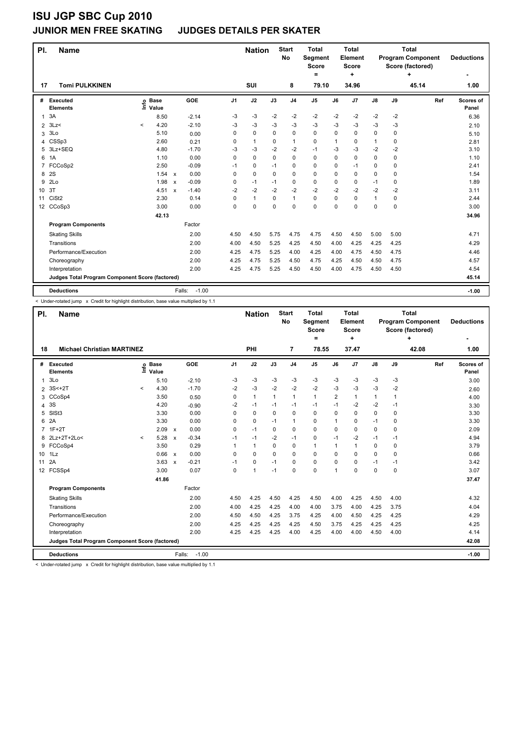#### **JUNIOR MEN FREE SKATING JUDGES DETAILS PER SKATER**

| PI.            | <b>Name</b>                                     |                            |        |                                      |                | <b>Nation</b> |      | <b>Start</b><br><b>No</b> | <b>Total</b><br>Segment<br><b>Score</b><br>= |             | <b>Total</b><br>Element<br>Score<br>٠ |              |             | <b>Total</b><br><b>Program Component</b><br>Score (factored) | <b>Deductions</b>  |
|----------------|-------------------------------------------------|----------------------------|--------|--------------------------------------|----------------|---------------|------|---------------------------|----------------------------------------------|-------------|---------------------------------------|--------------|-------------|--------------------------------------------------------------|--------------------|
| 17             | <b>Tomi PULKKINEN</b>                           |                            |        |                                      |                | SUI           |      | 8                         | 79.10                                        |             | 34.96                                 |              |             | 45.14                                                        | 1.00               |
| #              | Executed<br><b>Elements</b>                     | e Base<br>E Value<br>Value |        | GOE                                  | J <sub>1</sub> | J2            | J3   | J <sub>4</sub>            | J <sub>5</sub>                               | J6          | J <sub>7</sub>                        | J8           | J9          | Ref                                                          | Scores of<br>Panel |
| 1              | 3A                                              |                            | 8.50   | $-2.14$                              | -3             | -3            | $-2$ | $-2$                      | $-2$                                         | $-2$        | $-2$                                  | $-2$         | $-2$        |                                                              | 6.36               |
| $\overline{2}$ | 3Lz                                             | $\,<\,$                    | 4.20   | $-2.10$                              | -3             | -3            | -3   | $-3$                      | $-3$                                         | -3          | $-3$                                  | $-3$         | -3          |                                                              | 2.10               |
| 3              | 3Lo                                             |                            | 5.10   | 0.00                                 | 0              | 0             | 0    | $\mathbf 0$               | 0                                            | $\mathbf 0$ | $\mathbf 0$                           | 0            | 0           |                                                              | 5.10               |
| 4              | CSSp3                                           |                            | 2.60   | 0.21                                 | 0              | $\mathbf{1}$  | 0    | $\mathbf{1}$              | 0                                            | 1           | 0                                     | $\mathbf{1}$ | 0           |                                                              | 2.81               |
| 5              | 3Lz+SEQ                                         |                            | 4.80   | $-1.70$                              | $-3$           | -3            | $-2$ | $-2$                      | $-1$                                         | $-3$        | $-3$                                  | $-2$         | $-2$        |                                                              | 3.10               |
| 6              | 1A                                              |                            | 1.10   | 0.00                                 | $\Omega$       | $\Omega$      | 0    | $\Omega$                  | $\Omega$                                     | $\Omega$    | 0                                     | 0            | 0           |                                                              | 1.10               |
| $\overline{7}$ | FCCoSp2                                         |                            | 2.50   | $-0.09$                              | $-1$           | 0             | $-1$ | $\mathbf 0$               | 0                                            | $\Omega$    | $-1$                                  | 0            | 0           |                                                              | 2.41               |
| 8              | 2S                                              |                            | 1.54 x | 0.00                                 | 0              | 0             | 0    | $\mathbf 0$               | 0                                            | 0           | 0                                     | 0            | 0           |                                                              | 1.54               |
| 9              | 2Lo                                             |                            | 1.98   | $-0.09$<br>$\boldsymbol{\mathsf{x}}$ | 0              | $-1$          | $-1$ | 0                         | 0                                            | 0           | 0                                     | $-1$         | $\Omega$    |                                                              | 1.89               |
| 10             | 3T                                              |                            | 4.51   | $-1.40$<br>$\boldsymbol{\mathsf{x}}$ | $-2$           | $-2$          | $-2$ | $-2$                      | $-2$                                         | $-2$        | $-2$                                  | $-2$         | $-2$        |                                                              | 3.11               |
| 11             | CiSt <sub>2</sub>                               |                            | 2.30   | 0.14                                 | $\Omega$       | $\mathbf{1}$  | 0    | $\mathbf{1}$              | 0                                            | $\Omega$    | $\Omega$                              | $\mathbf{1}$ | 0           |                                                              | 2.44               |
|                | 12 CCoSp3                                       |                            | 3.00   | 0.00                                 | 0              | 0             | 0    | $\mathbf 0$               | 0                                            | 0           | 0                                     | 0            | $\mathbf 0$ |                                                              | 3.00               |
|                |                                                 |                            | 42.13  |                                      |                |               |      |                           |                                              |             |                                       |              |             |                                                              | 34.96              |
|                | <b>Program Components</b>                       |                            |        | Factor                               |                |               |      |                           |                                              |             |                                       |              |             |                                                              |                    |
|                | <b>Skating Skills</b>                           |                            |        | 2.00                                 | 4.50           | 4.50          | 5.75 | 4.75                      | 4.75                                         | 4.50        | 4.50                                  | 5.00         | 5.00        |                                                              | 4.71               |
|                | Transitions                                     |                            |        | 2.00                                 | 4.00           | 4.50          | 5.25 | 4.25                      | 4.50                                         | 4.00        | 4.25                                  | 4.25         | 4.25        |                                                              | 4.29               |
|                | Performance/Execution                           |                            |        | 2.00                                 | 4.25           | 4.75          | 5.25 | 4.00                      | 4.25                                         | 4.00        | 4.75                                  | 4.50         | 4.75        |                                                              | 4.46               |
|                | Choreography                                    |                            |        | 2.00                                 | 4.25           | 4.75          | 5.25 | 4.50                      | 4.75                                         | 4.25        | 4.50                                  | 4.50         | 4.75        |                                                              | 4.57               |
|                | Interpretation                                  |                            |        | 2.00                                 | 4.25           | 4.75          | 5.25 | 4.50                      | 4.50                                         | 4.00        | 4.75                                  | 4.50         | 4.50        |                                                              | 4.54               |
|                | Judges Total Program Component Score (factored) |                            |        |                                      |                |               |      |                           |                                              |             |                                       |              |             |                                                              | 45.14              |
|                | <b>Deductions</b>                               |                            |        | $-1.00$<br>Falls:                    |                |               |      |                           |                                              |             |                                       |              |             |                                                              | $-1.00$            |

< Under-rotated jump x Credit for highlight distribution, base value multiplied by 1.1

| PI.             | <b>Name</b>                                     | <b>Michael Christian MARTINEZ</b> |                      |                           |                   |                |                |          | <b>Start</b><br>No | <b>Total</b><br>Segment<br><b>Score</b><br>$\equiv$ |                | <b>Total</b><br>Element<br><b>Score</b><br>÷ |               |          | <b>Total</b><br><b>Program Component</b><br>Score (factored)<br>٠ | <b>Deductions</b>  |
|-----------------|-------------------------------------------------|-----------------------------------|----------------------|---------------------------|-------------------|----------------|----------------|----------|--------------------|-----------------------------------------------------|----------------|----------------------------------------------|---------------|----------|-------------------------------------------------------------------|--------------------|
| 18              |                                                 |                                   |                      |                           |                   |                | PHI            |          | 7                  | 78.55                                               |                | 37.47                                        |               |          | 42.08                                                             | 1.00               |
| #               | Executed<br><b>Elements</b>                     | ١nf٥                              | <b>Base</b><br>Value |                           | GOE               | J <sub>1</sub> | J2             | J3       | J <sub>4</sub>     | J <sub>5</sub>                                      | J6             | J <sub>7</sub>                               | $\mathsf{J}8$ | J9       | Ref                                                               | Scores of<br>Panel |
| $\mathbf{1}$    | 3Lo                                             |                                   | 5.10                 |                           | $-2.10$           | -3             | -3             | -3       | -3                 | $-3$                                                | $-3$           | $-3$                                         | $-3$          | $-3$     |                                                                   | 3.00               |
| $\overline{2}$  | $3S<+2T$                                        | $\prec$                           | 4.30                 |                           | $-1.70$           | $-2$           | $-3$           | $-2$     | $-2$               | $-2$                                                | $-3$           | $-3$                                         | $-3$          | $-2$     |                                                                   | 2.60               |
| 3               | CCoSp4                                          |                                   | 3.50                 |                           | 0.50              | $\Omega$       | $\mathbf{1}$   | 1        | $\mathbf{1}$       | $\mathbf{1}$                                        | $\overline{2}$ | 1                                            | 1             | 1        |                                                                   | 4.00               |
| 4               | 3S                                              |                                   | 4.20                 |                           | $-0.90$           | $-2$           | $-1$           | $-1$     | $-1$               | $-1$                                                | $-1$           | $-2$                                         | $-2$          | $-1$     |                                                                   | 3.30               |
| 5               | SIS <sub>t3</sub>                               |                                   | 3.30                 |                           | 0.00              | $\Omega$       | $\Omega$       | $\Omega$ | $\Omega$           | $\Omega$                                            | $\Omega$       | $\Omega$                                     | 0             | 0        |                                                                   | 3.30               |
| 6               | 2A                                              |                                   | 3.30                 |                           | 0.00              | $\Omega$       | $\mathbf 0$    | $-1$     | $\mathbf{1}$       | 0                                                   | 1              | 0                                            | $-1$          | $\Omega$ |                                                                   | 3.30               |
| $\overline{7}$  | $1F+2T$                                         |                                   | 2.09                 | $\boldsymbol{\mathsf{x}}$ | 0.00              | 0              | $-1$           | 0        | 0                  | 0                                                   | 0              | 0                                            | 0             | 0        |                                                                   | 2.09               |
| 8               | 2Lz+2T+2Lo<                                     | $\prec$                           | 5.28                 | $\boldsymbol{\mathsf{x}}$ | $-0.34$           | $-1$           | $-1$           | $-2$     | $-1$               | 0                                                   | $-1$           | $-2$                                         | $-1$          | $-1$     |                                                                   | 4.94               |
| 9               | FCCoSp4                                         |                                   | 3.50                 |                           | 0.29              | 1              | $\mathbf{1}$   | 0        | $\mathbf 0$        | $\mathbf{1}$                                        | 1              | 1                                            | 0             | 0        |                                                                   | 3.79               |
|                 | 10 1Lz                                          |                                   | 0.66                 | $\mathsf{x}$              | 0.00              | $\Omega$       | $\Omega$       | $\Omega$ | $\Omega$           | $\Omega$                                            | $\Omega$       | 0                                            | 0             | 0        |                                                                   | 0.66               |
| 11              | 2A                                              |                                   | 3.63                 | $\boldsymbol{\mathsf{x}}$ | $-0.21$           | $-1$           | $\mathbf 0$    | $-1$     | $\Omega$           | $\Omega$                                            | $\Omega$       | 0                                            | $-1$          | $-1$     |                                                                   | 3.42               |
| 12 <sup>2</sup> | FCSSp4                                          |                                   | 3.00                 |                           | 0.07              | $\Omega$       | $\overline{1}$ | $-1$     | $\Omega$           | $\Omega$                                            | 1              | 0                                            | 0             | 0        |                                                                   | 3.07               |
|                 |                                                 |                                   | 41.86                |                           |                   |                |                |          |                    |                                                     |                |                                              |               |          |                                                                   | 37.47              |
|                 | <b>Program Components</b>                       |                                   |                      |                           | Factor            |                |                |          |                    |                                                     |                |                                              |               |          |                                                                   |                    |
|                 | <b>Skating Skills</b>                           |                                   |                      |                           | 2.00              | 4.50           | 4.25           | 4.50     | 4.25               | 4.50                                                | 4.00           | 4.25                                         | 4.50          | 4.00     |                                                                   | 4.32               |
|                 | Transitions                                     |                                   |                      |                           | 2.00              | 4.00           | 4.25           | 4.25     | 4.00               | 4.00                                                | 3.75           | 4.00                                         | 4.25          | 3.75     |                                                                   | 4.04               |
|                 | Performance/Execution                           |                                   |                      |                           | 2.00              | 4.50           | 4.50           | 4.25     | 3.75               | 4.25                                                | 4.00           | 4.50                                         | 4.25          | 4.25     |                                                                   | 4.29               |
|                 | Choreography                                    |                                   |                      |                           | 2.00              | 4.25           | 4.25           | 4.25     | 4.25               | 4.50                                                | 3.75           | 4.25                                         | 4.25          | 4.25     |                                                                   | 4.25               |
|                 | Interpretation                                  |                                   |                      |                           | 2.00              | 4.25           | 4.25           | 4.25     | 4.00               | 4.25                                                | 4.00           | 4.00                                         | 4.50          | 4.00     |                                                                   | 4.14               |
|                 | Judges Total Program Component Score (factored) |                                   |                      |                           |                   |                |                |          |                    |                                                     |                |                                              |               |          |                                                                   | 42.08              |
|                 | <b>Deductions</b>                               |                                   |                      |                           | $-1.00$<br>Falls: |                |                |          |                    |                                                     |                |                                              |               |          |                                                                   | $-1.00$            |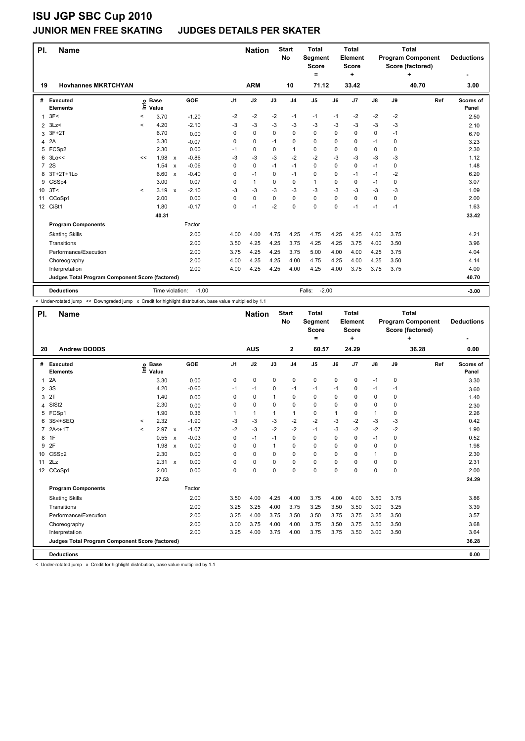#### **JUNIOR MEN FREE SKATING JUDGES DETAILS PER SKATER**

| PI.             | <b>Name</b>                                     |         |                      |                           |         |                | <b>Nation</b> |          | <b>Start</b><br>No | <b>Total</b><br>Segment<br>Score<br>= |      | <b>Total</b><br>Element<br>Score<br>÷ |               |             | <b>Total</b><br><b>Program Component</b><br>Score (factored)<br>÷ | <b>Deductions</b>  |
|-----------------|-------------------------------------------------|---------|----------------------|---------------------------|---------|----------------|---------------|----------|--------------------|---------------------------------------|------|---------------------------------------|---------------|-------------|-------------------------------------------------------------------|--------------------|
| 19              | <b>Hovhannes MKRTCHYAN</b>                      |         |                      |                           |         |                | <b>ARM</b>    |          | 10                 | 71.12                                 |      | 33.42                                 |               |             | 40.70                                                             | 3.00               |
| #               | Executed<br><b>Elements</b>                     | Info    | <b>Base</b><br>Value |                           | GOE     | J <sub>1</sub> | J2            | J3       | J <sub>4</sub>     | J <sub>5</sub>                        | J6   | J <sub>7</sub>                        | $\mathsf{J}8$ | J9          | Ref                                                               | Scores of<br>Panel |
| $\mathbf{1}$    | 3F<                                             | $\,<$   | 3.70                 |                           | $-1.20$ | $-2$           | -2            | $-2$     | $-1$               | $-1$                                  | $-1$ | $-2$                                  | $-2$          | $-2$        |                                                                   | 2.50               |
| $\overline{2}$  | 3Lz                                             | $\prec$ | 4.20                 |                           | $-2.10$ | -3             | $-3$          | -3       | -3                 | $-3$                                  | -3   | $-3$                                  | $-3$          | -3          |                                                                   | 2.10               |
| 3               | $3F+2T$                                         |         | 6.70                 |                           | 0.00    | 0              | $\mathbf 0$   | $\Omega$ | $\mathbf 0$        | $\mathbf 0$                           | 0    | 0                                     | 0             | $-1$        |                                                                   | 6.70               |
| 4               | 2A                                              |         | 3.30                 |                           | $-0.07$ | 0              | $\mathbf 0$   | $-1$     | 0                  | $\mathbf 0$                           | 0    | 0                                     | $-1$          | 0           |                                                                   | 3.23               |
| 5               | FCSp2                                           |         | 2.30                 |                           | 0.00    | $-1$           | $\mathbf 0$   | 0        | 1                  | $\mathbf 0$                           | 0    | 0                                     | 0             | 0           |                                                                   | 2.30               |
| 6               | 3Lo<<                                           | <<      | 1.98                 | $\boldsymbol{\mathsf{x}}$ | $-0.86$ | -3             | $-3$          | $-3$     | $-2$               | $-2$                                  | $-3$ | $-3$                                  | $-3$          | $-3$        |                                                                   | 1.12               |
| $\overline{7}$  | 2S                                              |         | 1.54                 | $\boldsymbol{\mathsf{x}}$ | $-0.06$ | $\Omega$       | 0             | $-1$     | $-1$               | $\mathbf 0$                           | 0    | 0                                     | $-1$          | $\mathbf 0$ |                                                                   | 1.48               |
| 8               | 3T+2T+1Lo                                       |         | 6.60                 | $\boldsymbol{\mathsf{x}}$ | $-0.40$ | 0              | $-1$          | 0        | $-1$               | $\mathbf 0$                           | 0    | $-1$                                  | $-1$          | $-2$        |                                                                   | 6.20               |
| 9               | CSSp4                                           |         | 3.00                 |                           | 0.07    | 0              | $\mathbf{1}$  | $\Omega$ | 0                  | 1                                     | 0    | 0                                     | $-1$          | 0           |                                                                   | 3.07               |
| 10 <sup>1</sup> | 3T<                                             | $\prec$ | 3.19                 | $\boldsymbol{\mathsf{x}}$ | $-2.10$ | $-3$           | $-3$          | -3       | $-3$               | $-3$                                  | -3   | $-3$                                  | -3            | $-3$        |                                                                   | 1.09               |
| 11              | CCoSp1                                          |         | 2.00                 |                           | 0.00    | 0              | 0             | $\Omega$ | 0                  | $\mathbf 0$                           | 0    | $\Omega$                              | 0             | 0           |                                                                   | 2.00               |
|                 | 12 CiSt1                                        |         | 1.80                 |                           | $-0.17$ | 0              | $-1$          | $-2$     | 0                  | $\mathbf 0$                           | 0    | $-1$                                  | $-1$          | $-1$        |                                                                   | 1.63               |
|                 |                                                 |         | 40.31                |                           |         |                |               |          |                    |                                       |      |                                       |               |             |                                                                   | 33.42              |
|                 | <b>Program Components</b>                       |         |                      |                           | Factor  |                |               |          |                    |                                       |      |                                       |               |             |                                                                   |                    |
|                 | <b>Skating Skills</b>                           |         |                      |                           | 2.00    | 4.00           | 4.00          | 4.75     | 4.25               | 4.75                                  | 4.25 | 4.25                                  | 4.00          | 3.75        |                                                                   | 4.21               |
|                 | Transitions                                     |         |                      |                           | 2.00    | 3.50           | 4.25          | 4.25     | 3.75               | 4.25                                  | 4.25 | 3.75                                  | 4.00          | 3.50        |                                                                   | 3.96               |
|                 | Performance/Execution                           |         |                      |                           | 2.00    | 3.75           | 4.25          | 4.25     | 3.75               | 5.00                                  | 4.00 | 4.00                                  | 4.25          | 3.75        |                                                                   | 4.04               |
|                 | Choreography                                    |         |                      |                           | 2.00    | 4.00           | 4.25          | 4.25     | 4.00               | 4.75                                  | 4.25 | 4.00                                  | 4.25          | 3.50        |                                                                   | 4.14               |
|                 | Interpretation                                  |         |                      |                           | 2.00    | 4.00           | 4.25          | 4.25     | 4.00               | 4.25                                  | 4.00 | 3.75                                  | 3.75          | 3.75        |                                                                   | 4.00               |
|                 | Judges Total Program Component Score (factored) |         |                      |                           |         |                |               |          |                    |                                       |      |                                       |               |             |                                                                   | 40.70              |
|                 | <b>Deductions</b>                               |         | Time violation:      |                           | $-1.00$ |                |               |          |                    | $-2.00$<br>Falls:                     |      |                                       |               |             |                                                                   | $-3.00$            |

< Under-rotated jump << Downgraded jump x Credit for highlight distribution, base value multiplied by 1.1

| PI.            | <b>Name</b>                                     |         |                            |                           |            |                | <b>Nation</b> |             | <b>Start</b><br>No | <b>Total</b><br>Segment<br><b>Score</b><br>= |      | Total<br>Element<br><b>Score</b><br>÷ |               |             | <b>Total</b><br><b>Program Component</b><br>Score (factored)<br>÷ | <b>Deductions</b>  |
|----------------|-------------------------------------------------|---------|----------------------------|---------------------------|------------|----------------|---------------|-------------|--------------------|----------------------------------------------|------|---------------------------------------|---------------|-------------|-------------------------------------------------------------------|--------------------|
| 20             | <b>Andrew DODDS</b>                             |         |                            |                           |            |                | <b>AUS</b>    |             | $\mathbf{2}$       | 60.57                                        |      | 24.29                                 |               |             | 36.28                                                             | 0.00               |
| #              | Executed<br><b>Elements</b>                     |         | e Base<br>≡ Value<br>Value |                           | <b>GOE</b> | J <sub>1</sub> | J2            | J3          | J <sub>4</sub>     | J5                                           | J6   | J7                                    | $\mathsf{J}8$ | J9          | Ref                                                               | Scores of<br>Panel |
| 1              | 2A                                              |         | 3.30                       |                           | 0.00       | 0              | 0             | $\mathbf 0$ | $\mathbf 0$        | 0                                            | 0    | $\mathbf 0$                           | $-1$          | 0           |                                                                   | 3.30               |
| $\overline{2}$ | 3S                                              |         | 4.20                       |                           | $-0.60$    | $-1$           | $-1$          | 0           | $-1$               | $-1$                                         | $-1$ | 0                                     | $-1$          | $-1$        |                                                                   | 3.60               |
| 3              | 2T                                              |         | 1.40                       |                           | 0.00       | 0              | 0             | 1           | 0                  | 0                                            | 0    | 0                                     | 0             | 0           |                                                                   | 1.40               |
| 4              | SISt <sub>2</sub>                               |         | 2.30                       |                           | 0.00       | $\Omega$       | 0             | 0           | $\mathbf 0$        | 0                                            | 0    | $\Omega$                              | 0             | $\Omega$    |                                                                   | 2.30               |
| 5              | FCSp1                                           |         | 1.90                       |                           | 0.36       |                | $\mathbf{1}$  | 1           | 1                  | 0                                            | 1    | 0                                     | 1             | 0           |                                                                   | 2.26               |
| 6              | 3S<+SEQ                                         | $\,<\,$ | 2.32                       |                           | $-1.90$    | -3             | -3            | $-3$        | $-2$               | $-2$                                         | $-3$ | $-2$                                  | $-3$          | $-3$        |                                                                   | 0.42               |
| $\overline{7}$ | $2A+1T$                                         | $\prec$ | 2.97                       | $\boldsymbol{\mathsf{x}}$ | $-1.07$    | $-2$           | -3            | $-2$        | $-2$               | $-1$                                         | -3   | $-2$                                  | $-2$          | $-2$        |                                                                   | 1.90               |
| 8              | 1F                                              |         | 0.55                       | $\boldsymbol{\mathsf{x}}$ | $-0.03$    | 0              | $-1$          | $-1$        | $\mathbf 0$        | 0                                            | 0    | 0                                     | $-1$          | $\mathbf 0$ |                                                                   | 0.52               |
| 9              | 2F                                              |         | 1.98                       | $\boldsymbol{\mathsf{x}}$ | 0.00       | 0              | 0             | 1           | 0                  | 0                                            | 0    | 0                                     | 0             | 0           |                                                                   | 1.98               |
| 10             | CSSp2                                           |         | 2.30                       |                           | 0.00       | 0              | 0             | 0           | $\mathbf 0$        | 0                                            | 0    | 0                                     | 1             | 0           |                                                                   | 2.30               |
| 11             | 2Lz                                             |         | 2.31 x                     |                           | 0.00       | 0              | 0             | 0           | $\mathbf 0$        | 0                                            | 0    | 0                                     | 0             | 0           |                                                                   | 2.31               |
|                | 12 CCoSp1                                       |         | 2.00                       |                           | 0.00       | $\Omega$       | 0             | 0           | $\mathbf 0$        | 0                                            | 0    | 0                                     | 0             | $\mathbf 0$ |                                                                   | 2.00               |
|                |                                                 |         | 27.53                      |                           |            |                |               |             |                    |                                              |      |                                       |               |             |                                                                   | 24.29              |
|                | <b>Program Components</b>                       |         |                            |                           | Factor     |                |               |             |                    |                                              |      |                                       |               |             |                                                                   |                    |
|                | <b>Skating Skills</b>                           |         |                            |                           | 2.00       | 3.50           | 4.00          | 4.25        | 4.00               | 3.75                                         | 4.00 | 4.00                                  | 3.50          | 3.75        |                                                                   | 3.86               |
|                | Transitions                                     |         |                            |                           | 2.00       | 3.25           | 3.25          | 4.00        | 3.75               | 3.25                                         | 3.50 | 3.50                                  | 3.00          | 3.25        |                                                                   | 3.39               |
|                | Performance/Execution                           |         |                            |                           | 2.00       | 3.25           | 4.00          | 3.75        | 3.50               | 3.50                                         | 3.75 | 3.75                                  | 3.25          | 3.50        |                                                                   | 3.57               |
|                | Choreography                                    |         |                            |                           | 2.00       | 3.00           | 3.75          | 4.00        | 4.00               | 3.75                                         | 3.50 | 3.75                                  | 3.50          | 3.50        |                                                                   | 3.68               |
|                | Interpretation                                  |         |                            |                           | 2.00       | 3.25           | 4.00          | 3.75        | 4.00               | 3.75                                         | 3.75 | 3.50                                  | 3.00          | 3.50        |                                                                   | 3.64               |
|                | Judges Total Program Component Score (factored) |         |                            |                           |            |                |               |             |                    |                                              |      |                                       |               |             |                                                                   | 36.28              |
|                | <b>Deductions</b>                               |         |                            |                           |            |                |               |             |                    |                                              |      |                                       |               |             |                                                                   | 0.00               |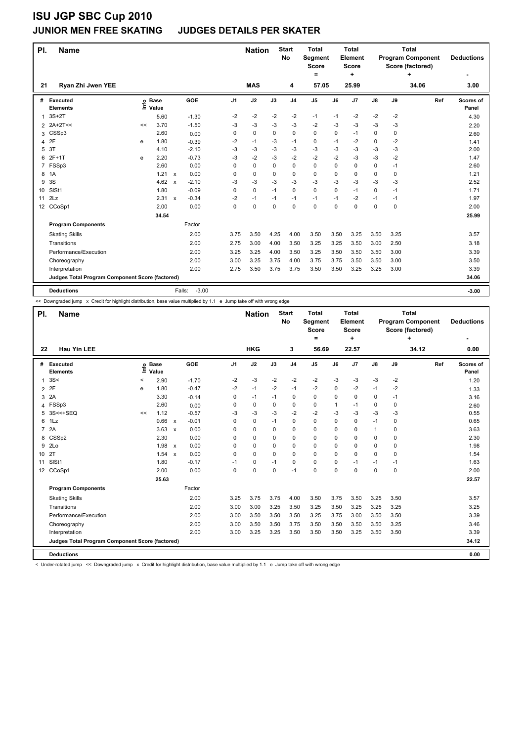#### **JUNIOR MEN FREE SKATING JUDGES DETAILS PER SKATER**

| PI.            | <b>Name</b>                                     |      |                      |                           | <b>Nation</b> |      | <b>Start</b><br><b>No</b> | <b>Total</b><br>Segment<br><b>Score</b><br>= |                | <b>Total</b><br>Element<br><b>Score</b><br>÷ |      |       | <b>Total</b><br><b>Program Component</b><br>Score (factored)<br>٠ | <b>Deductions</b> |       |                    |
|----------------|-------------------------------------------------|------|----------------------|---------------------------|---------------|------|---------------------------|----------------------------------------------|----------------|----------------------------------------------|------|-------|-------------------------------------------------------------------|-------------------|-------|--------------------|
| 21             | Ryan Zhi Jwen YEE                               |      |                      |                           |               |      | <b>MAS</b>                |                                              | 4              | 57.05                                        |      | 25.99 |                                                                   |                   | 34.06 | 3.00               |
| #              | <b>Executed</b><br><b>Elements</b>              | ١ifo | <b>Base</b><br>Value |                           | <b>GOE</b>    | J1   | J2                        | J3                                           | J <sub>4</sub> | J <sub>5</sub>                               | J6   | J7    | $\mathsf{J}8$                                                     | J9                | Ref   | Scores of<br>Panel |
| 1              | $3S+2T$                                         |      | 5.60                 |                           | $-1.30$       | $-2$ | $-2$                      | $-2$                                         | $-2$           | $-1$                                         | $-1$ | $-2$  | $-2$                                                              | $-2$              |       | 4.30               |
| $\overline{2}$ | 2A+2T<<                                         | <<   | 3.70                 |                           | $-1.50$       | -3   | $-3$                      | $-3$                                         | $-3$           | $-2$                                         | $-3$ | $-3$  | $-3$                                                              | $-3$              |       | 2.20               |
| 3              | CSSp3                                           |      | 2.60                 |                           | 0.00          | 0    | 0                         | 0                                            | 0              | 0                                            | 0    | $-1$  | 0                                                                 | 0                 |       | 2.60               |
| 4              | 2F                                              | e    | 1.80                 |                           | $-0.39$       | -2   | $-1$                      | -3                                           | $-1$           | 0                                            | $-1$ | $-2$  | 0                                                                 | $-2$              |       | 1.41               |
| 5              | 3T                                              |      | 4.10                 |                           | $-2.10$       | $-3$ | -3                        | -3                                           | -3             | $-3$                                         | -3   | $-3$  | -3                                                                | -3                |       | 2.00               |
| 6              | $2F+1T$                                         | e    | 2.20                 |                           | $-0.73$       | -3   | $-2$                      | $-3$                                         | $-2$           | $-2$                                         | $-2$ | $-3$  | $-3$                                                              | $-2$              |       | 1.47               |
| $\overline{7}$ | FSSp3                                           |      | 2.60                 |                           | 0.00          | 0    | 0                         | 0                                            | $\mathbf 0$    | 0                                            | 0    | 0     | 0                                                                 | -1                |       | 2.60               |
| 8              | 1A                                              |      | 1.21                 | X                         | 0.00          | 0    | 0                         | 0                                            | 0              | 0                                            | 0    | 0     | 0                                                                 | 0                 |       | 1.21               |
| 9              | 3S                                              |      | 4.62                 | $\boldsymbol{\mathsf{x}}$ | $-2.10$       | $-3$ | -3                        | -3                                           | $-3$           | $-3$                                         | $-3$ | -3    | $-3$                                                              | -3                |       | 2.52               |
| 10             | SISt1                                           |      | 1.80                 |                           | $-0.09$       | 0    | 0                         | $-1$                                         | $\mathbf 0$    | 0                                            | 0    | $-1$  | 0                                                                 | $-1$              |       | 1.71               |
| 11             | 2Lz                                             |      | 2.31 x               |                           | $-0.34$       | $-2$ | $-1$                      | $-1$                                         | $-1$           | $-1$                                         | $-1$ | $-2$  | $-1$                                                              | -1                |       | 1.97               |
|                | 12 CCoSp1                                       |      | 2.00                 |                           | 0.00          | 0    | 0                         | 0                                            | $\mathbf 0$    | 0                                            | 0    | 0     | 0                                                                 | $\mathbf 0$       |       | 2.00               |
|                |                                                 |      | 34.54                |                           |               |      |                           |                                              |                |                                              |      |       |                                                                   |                   |       | 25.99              |
|                | <b>Program Components</b>                       |      |                      |                           | Factor        |      |                           |                                              |                |                                              |      |       |                                                                   |                   |       |                    |
|                | <b>Skating Skills</b>                           |      |                      |                           | 2.00          | 3.75 | 3.50                      | 4.25                                         | 4.00           | 3.50                                         | 3.50 | 3.25  | 3.50                                                              | 3.25              |       | 3.57               |
|                | Transitions                                     |      |                      |                           | 2.00          | 2.75 | 3.00                      | 4.00                                         | 3.50           | 3.25                                         | 3.25 | 3.50  | 3.00                                                              | 2.50              |       | 3.18               |
|                | Performance/Execution                           |      |                      |                           | 2.00          | 3.25 | 3.25                      | 4.00                                         | 3.50           | 3.25                                         | 3.50 | 3.50  | 3.50                                                              | 3.00              |       | 3.39               |
|                | Choreography                                    |      |                      |                           | 2.00          | 3.00 | 3.25                      | 3.75                                         | 4.00           | 3.75                                         | 3.75 | 3.50  | 3.50                                                              | 3.00              |       | 3.50               |
|                | Interpretation                                  |      |                      |                           | 2.00          | 2.75 | 3.50                      | 3.75                                         | 3.75           | 3.50                                         | 3.50 | 3.25  | 3.25                                                              | 3.00              |       | 3.39               |
|                | Judges Total Program Component Score (factored) |      |                      |                           |               |      |                           |                                              |                |                                              |      |       |                                                                   |                   |       | 34.06              |
|                | <b>Deductions</b>                               |      |                      | Falls:                    | $-3.00$       |      |                           |                                              |                |                                              |      |       |                                                                   |                   |       | $-3.00$            |

<< Downgraded jump x Credit for highlight distribution, base value multiplied by 1.1 e Jump take off with wrong edge

| PI.            | <b>Name</b>                                     |         |                            |              |            |                | <b>Nation</b> |          | <b>Start</b><br><b>No</b> | <b>Total</b><br>Segment<br><b>Score</b><br>= |      | <b>Total</b><br><b>Element</b><br>Score<br>٠ |               |             | <b>Total</b><br><b>Program Component</b><br>Score (factored)<br>٠ | <b>Deductions</b>  |
|----------------|-------------------------------------------------|---------|----------------------------|--------------|------------|----------------|---------------|----------|---------------------------|----------------------------------------------|------|----------------------------------------------|---------------|-------------|-------------------------------------------------------------------|--------------------|
| 22             | <b>Hau Yin LEE</b>                              |         |                            |              |            |                | <b>HKG</b>    |          | 3                         | 56.69                                        |      | 22.57                                        |               |             | 34.12                                                             | 0.00               |
| #              | Executed<br><b>Elements</b>                     |         | e Base<br>≡ Value<br>Value |              | <b>GOE</b> | J <sub>1</sub> | J2            | J3       | J <sub>4</sub>            | J5                                           | J6   | J7                                           | $\mathsf{J}8$ | J9          | Ref                                                               | Scores of<br>Panel |
| 1              | 3S<                                             | $\,<\,$ | 2.90                       |              | $-1.70$    | $-2$           | $-3$          | $-2$     | $-2$                      | $-2$                                         | $-3$ | $-3$                                         | $-3$          | $-2$        |                                                                   | 1.20               |
|                | 2 2F                                            | e       | 1.80                       |              | $-0.47$    | $-2$           | $-1$          | $-2$     | $-1$                      | $-2$                                         | 0    | $-2$                                         | $-1$          | $-2$        |                                                                   | 1.33               |
| 3              | 2A                                              |         | 3.30                       |              | $-0.14$    | 0              | $-1$          | $-1$     | 0                         | 0                                            | 0    | 0                                            | 0             | $-1$        |                                                                   | 3.16               |
| 4              | FSSp3                                           |         | 2.60                       |              | 0.00       | $\Omega$       | 0             | 0        | $\mathbf 0$               | 0                                            | 1    | $-1$                                         | 0             | $\Omega$    |                                                                   | 2.60               |
| 5              | 3S<<+SEQ                                        | <<      | 1.12                       |              | $-0.57$    | -3             | -3            | $-3$     | $-2$                      | $-2$                                         | $-3$ | $-3$                                         | $-3$          | $-3$        |                                                                   | 0.55               |
| 6              | 1Lz                                             |         | 0.66                       | $\mathsf{x}$ | $-0.01$    | 0              | 0             | $-1$     | $\mathbf 0$               | $\Omega$                                     | 0    | 0                                            | $-1$          | 0           |                                                                   | 0.65               |
| $\overline{7}$ | 2A                                              |         | $3.63 \times$              |              | 0.00       | $\Omega$       | 0             | 0        | 0                         | 0                                            | 0    | 0                                            | $\mathbf{1}$  | 0           |                                                                   | 3.63               |
| 8              | CSSp2                                           |         | 2.30                       |              | 0.00       | 0              | 0             | 0        | 0                         | 0                                            | 0    | 0                                            | 0             | 0           |                                                                   | 2.30               |
| 9              | 2 <sub>LO</sub>                                 |         | $1.98 \times$              |              | 0.00       | 0              | $\mathbf 0$   | $\Omega$ | $\mathbf 0$               | 0                                            | 0    | $\Omega$                                     | 0             | $\mathbf 0$ |                                                                   | 1.98               |
| 10             | 2T                                              |         | 1.54                       | $\mathsf{x}$ | 0.00       | $\Omega$       | $\Omega$      | $\Omega$ | $\Omega$                  | $\Omega$                                     | 0    | $\Omega$                                     | 0             | $\Omega$    |                                                                   | 1.54               |
| 11             | SISt1                                           |         | 1.80                       |              | $-0.17$    | -1             | 0             | $-1$     | $\mathbf 0$               | 0                                            | 0    | $-1$                                         | $-1$          | -1          |                                                                   | 1.63               |
|                | 12 CCoSp1                                       |         | 2.00                       |              | 0.00       | $\Omega$       | 0             | $\Omega$ | $-1$                      | $\Omega$                                     | 0    | $\Omega$                                     | 0             | 0           |                                                                   | 2.00               |
|                |                                                 |         | 25.63                      |              |            |                |               |          |                           |                                              |      |                                              |               |             |                                                                   | 22.57              |
|                | <b>Program Components</b>                       |         |                            |              | Factor     |                |               |          |                           |                                              |      |                                              |               |             |                                                                   |                    |
|                | <b>Skating Skills</b>                           |         |                            |              | 2.00       | 3.25           | 3.75          | 3.75     | 4.00                      | 3.50                                         | 3.75 | 3.50                                         | 3.25          | 3.50        |                                                                   | 3.57               |
|                | Transitions                                     |         |                            |              | 2.00       | 3.00           | 3.00          | 3.25     | 3.50                      | 3.25                                         | 3.50 | 3.25                                         | 3.25          | 3.25        |                                                                   | 3.25               |
|                | Performance/Execution                           |         |                            |              | 2.00       | 3.00           | 3.50          | 3.50     | 3.50                      | 3.25                                         | 3.75 | 3.00                                         | 3.50          | 3.50        |                                                                   | 3.39               |
|                | Choreography                                    |         |                            |              | 2.00       | 3.00           | 3.50          | 3.50     | 3.75                      | 3.50                                         | 3.50 | 3.50                                         | 3.50          | 3.25        |                                                                   | 3.46               |
|                | Interpretation                                  |         |                            |              | 2.00       | 3.00           | 3.25          | 3.25     | 3.50                      | 3.50                                         | 3.50 | 3.25                                         | 3.50          | 3.50        |                                                                   | 3.39               |
|                | Judges Total Program Component Score (factored) |         |                            |              |            |                |               |          |                           |                                              |      |                                              |               |             |                                                                   | 34.12              |
|                | <b>Deductions</b>                               |         |                            |              |            |                |               |          |                           |                                              |      |                                              |               |             |                                                                   | 0.00               |

< Under-rotated jump << Downgraded jump x Credit for highlight distribution, base value multiplied by 1.1 e Jump take off with wrong edge